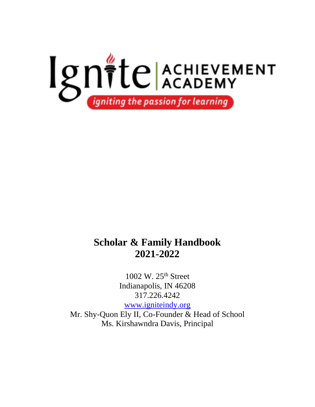

## **Scholar & Family Handbook 2021-2022**

1002 W. 25th Street Indianapolis, IN 46208 317.226.4242

[www.igniteindy.org](http://www.igniteindy.org/) Mr. Shy-Quon Ely II, Co-Founder & Head of School

Ms. Kirshawndra Davis, Principal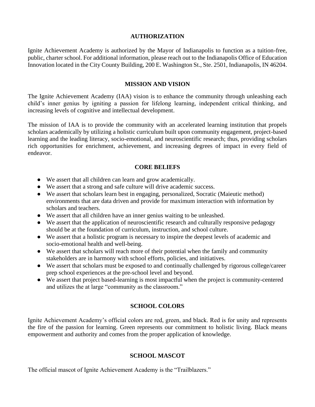#### **AUTHORIZATION**

Ignite Achievement Academy is authorized by the Mayor of Indianapolis to function as a tuition-free, public, charter school. For additional information, please reach out to the Indianapolis Office of Education Innovation located in the City County Building, 200 E. Washington St., Ste. 2501, Indianapolis, IN 46204.

#### **MISSION AND VISION**

The Ignite Achievement Academy (IAA) vision is to enhance the community through unleashing each child's inner genius by igniting a passion for lifelong learning, independent critical thinking, and increasing levels of cognitive and intellectual development.

The mission of IAA is to provide the community with an accelerated learning institution that propels scholars academically by utilizing a holistic curriculum built upon community engagement, project-based learning and the leading literacy, socio-emotional, and neuroscientific research; thus, providing scholars rich opportunities for enrichment, achievement, and increasing degrees of impact in every field of endeavor.

## **CORE BELIEFS**

- We assert that all children can learn and grow academically.
- We assert that a strong and safe culture will drive academic success.
- We assert that scholars learn best in engaging, personalized, Socratic (Maieutic method) environments that are data driven and provide for maximum interaction with information by scholars and teachers.
- We assert that all children have an inner genius waiting to be unleashed.
- We assert that the application of neuroscientific research and culturally responsive pedagogy should be at the foundation of curriculum, instruction, and school culture.
- We assert that a holistic program is necessary to inspire the deepest levels of academic and socio-emotional health and well-being.
- We assert that scholars will reach more of their potential when the family and community stakeholders are in harmony with school efforts, policies, and initiatives.
- We assert that scholars must be exposed to and continually challenged by rigorous college/career prep school experiences at the pre-school level and beyond.
- We assert that project based-learning is most impactful when the project is community-centered and utilizes the at large "community as the classroom."

## **SCHOOL COLORS**

Ignite Achievement Academy's official colors are red, green, and black. Red is for unity and represents the fire of the passion for learning. Green represents our commitment to holistic living. Black means empowerment and authority and comes from the proper application of knowledge.

## **SCHOOL MASCOT**

The official mascot of Ignite Achievement Academy is the "Trailblazers."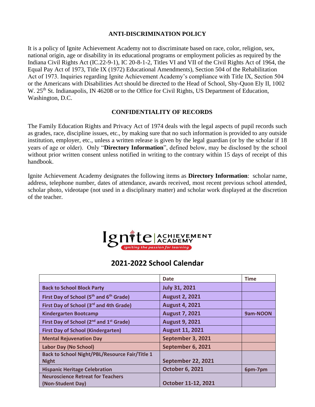## **ANTI-DISCRIMINATION POLICY**

It is a policy of Ignite Achievement Academy not to discriminate based on race, color, religion, sex, national origin, age or disability in its educational programs or employment policies as required by the Indiana Civil Rights Act (IC.22-9-1), IC 20-8-1-2, Titles VI and VII of the Civil Rights Act of 1964, the Equal Pay Act of 1973, Title IX (1972) Educational Amendments), Section 504 of the Rehabilitation Act of 1973. Inquiries regarding Ignite Achievement Academy's compliance with Title IX, Section 504 or the Americans with Disabilities Act should be directed to the Head of School, Shy-Quon Ely II, 1002 W. 25<sup>th</sup> St. Indianapolis, IN 46208 or to the Office for Civil Rights, US Department of Education, Washington, D.C.

#### **CONFIDENTIALITY OF RECORDS**

The Family Education Rights and Privacy Act of 1974 deals with the legal aspects of pupil records such as grades, race, discipline issues, etc., by making sure that no such information is provided to any outside institution, employer, etc., unless a written release is given by the legal guardian (or by the scholar if 18 years of age or older). Only "**Directory Information**", defined below, may be disclosed by the school without prior written consent unless notified in writing to the contrary within 15 days of receipt of this handbook.

Ignite Achievement Academy designates the following items as **Directory Information**: scholar name, address, telephone number, dates of attendance, awards received, most recent previous school attended, scholar photo, videotape (not used in a disciplinary matter) and scholar work displayed at the discretion of the teacher.



## **2021-2022 School Calendar**

|                                                                       | <b>Date</b>               | <b>Time</b> |
|-----------------------------------------------------------------------|---------------------------|-------------|
| <b>Back to School Block Party</b>                                     | <b>July 31, 2021</b>      |             |
| First Day of School (5 <sup>th</sup> and 6 <sup>th</sup> Grade)       | <b>August 2, 2021</b>     |             |
| First Day of School (3rd and 4th Grade)                               | <b>August 4, 2021</b>     |             |
| <b>Kindergarten Bootcamp</b>                                          | <b>August 7, 2021</b>     | 9am-NOON    |
| First Day of School (2 <sup>nd</sup> and 1 <sup>st</sup> Grade)       | <b>August 9, 2021</b>     |             |
| <b>First Day of School (Kindergarten)</b>                             | <b>August 11, 2021</b>    |             |
| <b>Mental Rejuvenation Day</b>                                        | September 3, 2021         |             |
| <b>Labor Day (No School)</b>                                          | September 6, 2021         |             |
| <b>Back to School Night/PBL/Resource Fair/Title 1</b><br><b>Night</b> | <b>September 22, 2021</b> |             |
| <b>Hispanic Heritage Celebration</b>                                  | <b>October 6, 2021</b>    | 6pm-7pm     |
| <b>Neuroscience Retreat for Teachers</b><br>(Non-Student Day)         | October 11-12, 2021       |             |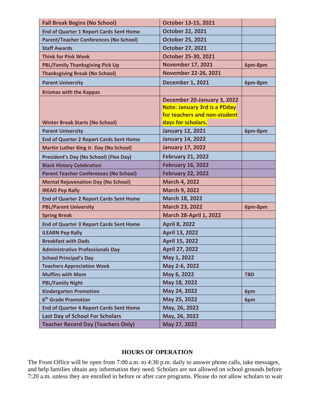| <b>Fall Break Begins (No School)</b>           | October 13-15, 2021                                                 |            |
|------------------------------------------------|---------------------------------------------------------------------|------------|
| <b>End of Quarter 1 Report Cards Sent Home</b> | <b>October 22, 2021</b>                                             |            |
| <b>Parent/Teacher Conferences (No School)</b>  | <b>October 25, 2021</b>                                             |            |
| <b>Staff Awards</b>                            | <b>October 27, 2021</b>                                             |            |
| <b>Think for Pink Week</b>                     | October 25-30, 2021                                                 |            |
| <b>PBL/Family Thanksgiving Pick Up</b>         | <b>November 17, 2021</b>                                            | 6pm-8pm    |
| <b>Thanksgiving Break (No School)</b>          | November 22-26, 2021                                                |            |
| <b>Parent University</b>                       | <b>December 1, 2021</b>                                             | 6pm-8pm    |
| <b>Krismas with the Kappas</b>                 |                                                                     |            |
|                                                | December 20-January 3, 2022                                         |            |
|                                                | <b>Note: January 3rd is a PDday</b><br>for teachers and non-student |            |
| <b>Winter Break Starts (No School)</b>         | days for scholars.                                                  |            |
| <b>Parent University</b>                       | <b>January 12, 2021</b>                                             | 6pm-8pm    |
| <b>End of Quarter 2 Report Cards Sent Home</b> | <b>January 14, 2022</b>                                             |            |
| <b>Martin Luther King Jr. Day (No School)</b>  | <b>January 17, 2022</b>                                             |            |
| <b>President's Day (No School) (Flex Day)</b>  | <b>February 21, 2022</b>                                            |            |
| <b>Black History Celebration</b>               | <b>February 16, 2022</b>                                            |            |
| <b>Parent Teacher Conferences (No School)</b>  | <b>February 22, 2022</b>                                            |            |
| <b>Mental Rejuvenation Day (No School)</b>     | <b>March 4, 2022</b>                                                |            |
| <b>IREAD Pep Rally</b>                         | <b>March 9, 2022</b>                                                |            |
| <b>End of Quarter 2 Report Cards Sent Home</b> | March 18, 2022                                                      |            |
| <b>PBL/Parent University</b>                   | March 23, 2022                                                      | 6pm-8pm    |
| <b>Spring Break</b>                            | <b>March 28-April 1, 2022</b>                                       |            |
| <b>End of Quarter 3 Report Cards Sent Home</b> | <b>April 8, 2022</b>                                                |            |
| <b>ILEARN Pep Rally</b>                        | <b>April 13, 2022</b>                                               |            |
| <b>Breakfast with Dads</b>                     | <b>April 15, 2022</b>                                               |            |
| <b>Administrative Professionals Day</b>        | <b>April 27, 2022</b>                                               |            |
| <b>School Principal's Day</b>                  | May 1, 2022                                                         |            |
| <b>Teachers Appreciation Week</b>              | May 2-6, 2022                                                       |            |
| <b>Muffins with Mom</b>                        | May 6, 2022                                                         | <b>TBD</b> |
| <b>PBL/Family Night</b>                        | May 18, 2022                                                        |            |
| <b>Kindergarten Promotion</b>                  | May 24, 2022                                                        | 6pm        |
| 6 <sup>th</sup> Grade Promotion                | May 25, 2022                                                        | 6pm        |
| <b>End of Quarter 4 Report Cards Sent Home</b> | May, 26, 2022                                                       |            |
| <b>Last Day of School For Scholars</b>         | May, 26, 2022                                                       |            |
| <b>Teacher Record Day (Teachers Only)</b>      | May 27, 2022                                                        |            |

#### **HOURS OF OPERATION**

The Front Office will be open from 7:00 a.m. to 4:30 p.m. daily to answer phone calls, take messages, and help families obtain any information they need. Scholars are not allowed on school grounds before 7:20 a.m. unless they are enrolled in before or after care programs. Please do not allow scholars to wait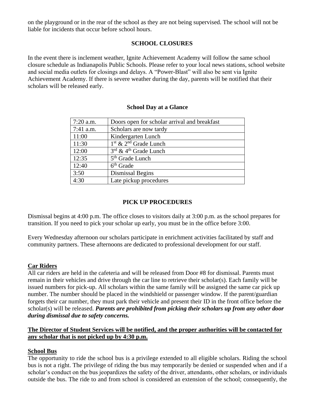on the playground or in the rear of the school as they are not being supervised. The school will not be liable for incidents that occur before school hours.

## **SCHOOL CLOSURES**

In the event there is inclement weather, Ignite Achievement Academy will follow the same school closure schedule as Indianapolis Public Schools. Please refer to your local news stations, school website and social media outlets for closings and delays. A "Power-Blast" will also be sent via Ignite Achievement Academy. If there is severe weather during the day, parents will be notified that their scholars will be released early.

| $7:20$ a.m. | Doors open for scholar arrival and breakfast  |
|-------------|-----------------------------------------------|
| 7:41 a.m.   | Scholars are now tardy                        |
| 11:00       | Kindergarten Lunch                            |
| 11:30       | $1st$ & $2nd$ Grade Lunch                     |
| 12:00       | $3^{\text{rd}}$ & 4 <sup>th</sup> Grade Lunch |
| 12:35       | 5 <sup>th</sup> Grade Lunch                   |
| 12:40       | $6th$ Grade                                   |
| 3:50        | Dismissal Begins                              |
| 4:30        | Late pickup procedures                        |

## **School Day at a Glance**

## **PICK UP PROCEDURES**

Dismissal begins at 4:00 p.m. The office closes to visitors daily at 3:00 p.m. as the school prepares for transition. If you need to pick your scholar up early, you must be in the office before 3:00.

Every Wednesday afternoon our scholars participate in enrichment activities facilitated by staff and community partners. These afternoons are dedicated to professional development for our staff.

## **Car Riders**

All car riders are held in the cafeteria and will be released from Door #8 for dismissal. Parents must remain in their vehicles and drive through the car line to retrieve their scholar(s). Each family will be issued numbers for pick-up. All scholars within the same family will be assigned the same car pick up number. The number should be placed in the windshield or passenger window. If the parent/guardian forgets their car number, they must park their vehicle and present their ID in the front office before the scholar(s) will be released. *Parents are prohibited from picking their scholars up from any other door during dismissal due to safety concerns.*

## **The Director of Student Services will be notified, and the proper authorities will be contacted for any scholar that is not picked up by 4:30 p.m.**

## **School Bus**

The opportunity to ride the school bus is a privilege extended to all eligible scholars. Riding the school bus is not a right. The privilege of riding the bus may temporarily be denied or suspended when and if a scholar's conduct on the bus jeopardizes the safety of the driver, attendants, other scholars, or individuals outside the bus. The ride to and from school is considered an extension of the school; consequently, the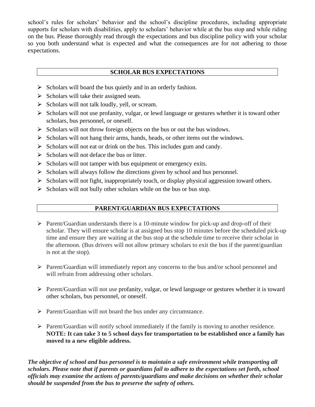school's rules for scholars' behavior and the school's discipline procedures, including appropriate supports for scholars with disabilities, apply to scholars' behavior while at the bus stop and while riding on the bus. Please thoroughly read through the expectations and bus discipline policy with your scholar so you both understand what is expected and what the consequences are for not adhering to those expectations.

## **SCHOLAR BUS EXPECTATIONS**

- $\triangleright$  Scholars will board the bus quietly and in an orderly fashion.
- $\triangleright$  Scholars will take their assigned seats.
- $\triangleright$  Scholars will not talk loudly, yell, or scream.
- $\triangleright$  Scholars will not use profanity, vulgar, or lewd language or gestures whether it is toward other scholars, bus personnel, or oneself.
- $\triangleright$  Scholars will not throw foreign objects on the bus or out the bus windows.
- $\triangleright$  Scholars will not hang their arms, hands, heads, or other items out the windows.
- $\triangleright$  Scholars will not eat or drink on the bus. This includes gum and candy.
- $\triangleright$  Scholars will not deface the bus or litter.
- $\triangleright$  Scholars will not tamper with bus equipment or emergency exits.
- $\triangleright$  Scholars will always follow the directions given by school and bus personnel.
- Scholars will not fight, inappropriately touch, or display physical aggression toward others.
- $\triangleright$  Scholars will not bully other scholars while on the bus or bus stop.

## **PARENT/GUARDIAN BUS EXPECTATIONS**

- $\triangleright$  Parent/Guardian understands there is a 10-minute window for pick-up and drop-off of their scholar. They will ensure scholar is at assigned bus stop 10 minutes before the scheduled pick-up time and ensure they are waiting at the bus stop at the schedule time to receive their scholar in the afternoon. (Bus drivers will not allow primary scholars to exit the bus if the parent/guardian is not at the stop).
- ⮚ Parent/Guardian will immediately report any concerns to the bus and/or school personnel and will refrain from addressing other scholars.
- ⮚ Parent/Guardian will not use profanity, vulgar, or lewd language or gestures whether it is toward other scholars, bus personnel, or oneself.
- $\triangleright$  Parent/Guardian will not board the bus under any circumstance.
- $\triangleright$  Parent/Guardian will notify school immediately if the family is moving to another residence. **NOTE: It can take 3 to 5 school days for transportation to be established once a family has moved to a new eligible address.**

*The objective of school and bus personnel is to maintain a safe environment while transporting all scholars. Please note that if parents or guardians fail to adhere to the expectations set forth, school officials may examine the actions of parents/guardians and make decisions on whether their scholar should be suspended from the bus to preserve the safety of others.*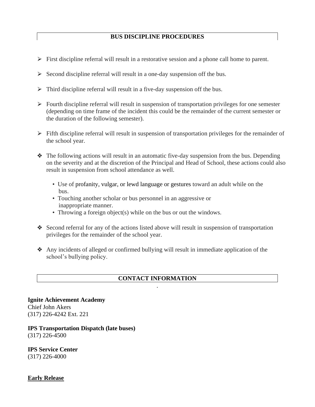## **BUS DISCIPLINE PROCEDURES**

- $\triangleright$  First discipline referral will result in a restorative session and a phone call home to parent.
- $\triangleright$  Second discipline referral will result in a one-day suspension off the bus.
- $\triangleright$  Third discipline referral will result in a five-day suspension off the bus.
- $\triangleright$  Fourth discipline referral will result in suspension of transportation privileges for one semester (depending on time frame of the incident this could be the remainder of the current semester or the duration of the following semester).
- $\triangleright$  Fifth discipline referral will result in suspension of transportation privileges for the remainder of the school year.
- $\triangleleft$  The following actions will result in an automatic five-day suspension from the bus. Depending on the severity and at the discretion of the Principal and Head of School, these actions could also result in suspension from school attendance as well.
	- Use of profanity, vulgar, or lewd language or gestures toward an adult while on the bus.
	- Touching another scholar or bus personnel in an aggressive or inappropriate manner.
	- Throwing a foreign object(s) while on the bus or out the windows.
- ❖ Second referral for any of the actions listed above will result in suspension of transportation privileges for the remainder of the school year.
- ❖ Any incidents of alleged or confirmed bullying will result in immediate application of the school's bullying policy.

## **CONTACT INFORMATION** .

**Ignite Achievement Academy** Chief John Akers (317) 226-4242 Ext. 221

#### **IPS Transportation Dispatch (late buses)** (317) 226-4500

## **IPS Service Center**

(317) 226-4000

**Early Release**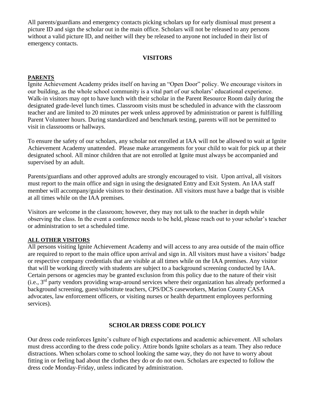All parents/guardians and emergency contacts picking scholars up for early dismissal must present a picture ID and sign the scholar out in the main office. Scholars will not be released to any persons without a valid picture ID, and neither will they be released to anyone not included in their list of emergency contacts.

## **VISITORS**

## **PARENTS**

Ignite Achievement Academy prides itself on having an "Open Door" policy. We encourage visitors in our building, as the whole school community is a vital part of our scholars' educational experience. Walk-in visitors may opt to have lunch with their scholar in the Parent Resource Room daily during the designated grade-level lunch times. Classroom visits must be scheduled in advance with the classroom teacher and are limited to 20 minutes per week unless approved by administration or parent is fulfilling Parent Volunteer hours. During standardized and benchmark testing, parents will not be permitted to visit in classrooms or hallways.

To ensure the safety of our scholars, any scholar not enrolled at IAA will not be allowed to wait at Ignite Achievement Academy unattended. Please make arrangements for your child to wait for pick up at their designated school. All minor children that are not enrolled at Ignite must always be accompanied and supervised by an adult.

Parents/guardians and other approved adults are strongly encouraged to visit. Upon arrival, all visitors must report to the main office and sign in using the designated Entry and Exit System. An IAA staff member will accompany/guide visitors to their destination. All visitors must have a badge that is visible at all times while on the IAA premises.

Visitors are welcome in the classroom; however, they may not talk to the teacher in depth while observing the class. In the event a conference needs to be held, please reach out to your scholar's teacher or administration to set a scheduled time.

#### **ALL OTHER VISITORS**

All persons visiting Ignite Achievement Academy and will access to any area outside of the main office are required to report to the main office upon arrival and sign in. All visitors must have a visitors' badge or respective company credentials that are visible at all times while on the IAA premises. Any visitor that will be working directly with students are subject to a background screening conducted by IAA. Certain persons or agencies may be granted exclusion from this policy due to the nature of their visit (i.e., 3rd party vendors providing wrap-around services where their organization has already performed a background screening, guest/substitute teachers, CPS/DCS caseworkers, Marion County CASA advocates, law enforcement officers, or visiting nurses or health department employees performing services).

#### **SCHOLAR DRESS CODE POLICY**

Our dress code reinforces Ignite's culture of high expectations and academic achievement. All scholars must dress according to the dress code policy. Attire bonds Ignite scholars as a team. They also reduce distractions. When scholars come to school looking the same way, they do not have to worry about fitting in or feeling bad about the clothes they do or do not own. Scholars are expected to follow the dress code Monday-Friday, unless indicated by administration.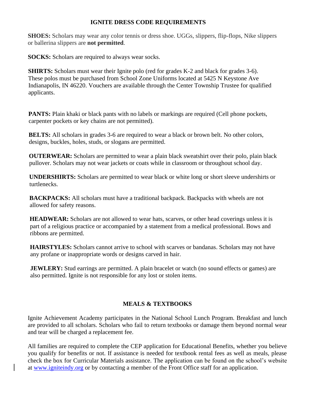## **IGNITE DRESS CODE REQUIREMENTS**

**SHOES:** Scholars may wear any color tennis or dress shoe. UGGs, slippers, flip-flops, Nike slippers or ballerina slippers are **not permitted**.

**SOCKS:** Scholars are required to always wear socks.

**SHIRTS:** Scholars must wear their Ignite polo (red for grades K-2 and black for grades 3-6). These polos must be purchased from School Zone Uniforms located at 5425 N Keystone Ave Indianapolis, IN 46220. Vouchers are available through the Center Township Trustee for qualified applicants.

**PANTS:** Plain khaki or black pants with no labels or markings are required (Cell phone pockets, carpenter pockets or key chains are not permitted).

**BELTS:** All scholars in grades 3-6 are required to wear a black or brown belt. No other colors, designs, buckles, holes, studs, or slogans are permitted.

**OUTERWEAR:** Scholars are permitted to wear a plain black sweatshirt over their polo, plain black pullover. Scholars may not wear jackets or coats while in classroom or throughout school day.

**UNDERSHIRTS:** Scholars are permitted to wear black or white long or short sleeve undershirts or turtlenecks.

**BACKPACKS:** All scholars must have a traditional backpack. Backpacks with wheels are not allowed for safety reasons.

**HEADWEAR:** Scholars are not allowed to wear hats, scarves, or other head coverings unless it is part of a religious practice or accompanied by a statement from a medical professional. Bows and ribbons are permitted.

**HAIRSTYLES:** Scholars cannot arrive to school with scarves or bandanas. Scholars may not have any profane or inappropriate words or designs carved in hair.

**JEWLERY:** Stud earrings are permitted. A plain bracelet or watch (no sound effects or games) are also permitted. Ignite is not responsible for any lost or stolen items.

## **MEALS & TEXTBOOKS**

Ignite Achievement Academy participates in the National School Lunch Program. Breakfast and lunch are provided to all scholars. Scholars who fail to return textbooks or damage them beyond normal wear and tear will be charged a replacement fee.

All families are required to complete the CEP application for Educational Benefits, whether you believe you qualify for benefits or not. If assistance is needed for textbook rental fees as well as meals, please check the box for Curricular Materials assistance. The application can be found on the school's website at [www.igniteindy.org](http://www.igniteindy.org/) or by contacting a member of the Front Office staff for an application.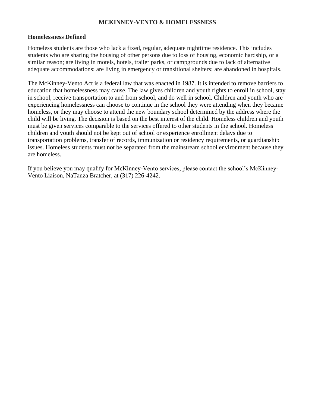## **MCKINNEY-VENTO & HOMELESSNESS**

#### **Homelessness Defined**

Homeless students are those who lack a fixed, regular, adequate nighttime residence. This includes students who are sharing the housing of other persons due to loss of housing, economic hardship, or a similar reason; are living in motels, hotels, trailer parks, or campgrounds due to lack of alternative adequate accommodations; are living in emergency or transitional shelters; are abandoned in hospitals.

The McKinney-Vento Act is a federal law that was enacted in 1987. It is intended to remove barriers to education that homelessness may cause. The law gives children and youth rights to enroll in school, stay in school, receive transportation to and from school, and do well in school. Children and youth who are experiencing homelessness can choose to continue in the school they were attending when they became homeless, or they may choose to attend the new boundary school determined by the address where the child will be living. The decision is based on the best interest of the child. Homeless children and youth must be given services comparable to the services offered to other students in the school. Homeless children and youth should not be kept out of school or experience enrollment delays due to transportation problems, transfer of records, immunization or residency requirements, or guardianship issues. Homeless students must not be separated from the mainstream school environment because they are homeless.

If you believe you may qualify for McKinney-Vento services, please contact the school's McKinney-Vento Liaison, NaTanza Bratcher, at (317) 226-4242.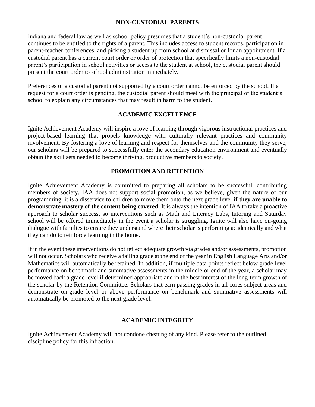## **NON-CUSTODIAL PARENTS**

Indiana and federal law as well as school policy presumes that a student's non-custodial parent continues to be entitled to the rights of a parent. This includes access to student records, participation in parent-teacher conferences, and picking a student up from school at dismissal or for an appointment. If a custodial parent has a current court order or order of protection that specifically limits a non-custodial parent's participation in school activities or access to the student at school, the custodial parent should present the court order to school administration immediately.

Preferences of a custodial parent not supported by a court order cannot be enforced by the school. If a request for a court order is pending, the custodial parent should meet with the principal of the student's school to explain any circumstances that may result in harm to the student.

## **ACADEMIC EXCELLENCE**

Ignite Achievement Academy will inspire a love of learning through vigorous instructional practices and project-based learning that propels knowledge with culturally relevant practices and community involvement. By fostering a love of learning and respect for themselves and the community they serve, our scholars will be prepared to successfully enter the secondary education environment and eventually obtain the skill sets needed to become thriving, productive members to society.

## **PROMOTION AND RETENTION**

Ignite Achievement Academy is committed to preparing all scholars to be successful, contributing members of society. IAA does not support social promotion, as we believe, given the nature of our programming, it is a disservice to children to move them onto the next grade level **if they are unable to demonstrate mastery of the content being covered.** It is always the intention of IAA to take a proactive approach to scholar success, so interventions such as Math and Literacy Labs, tutoring and Saturday school will be offered immediately in the event a scholar is struggling. Ignite will also have on-going dialogue with families to ensure they understand where their scholar is performing academically and what they can do to reinforce learning in the home.

If in the event these interventions do not reflect adequate growth via grades and/or assessments, promotion will not occur. Scholars who receive a failing grade at the end of the year in English Language Arts and/or Mathematics will automatically be retained. In addition, if multiple data points reflect below grade level performance on benchmark and summative assessments in the middle or end of the year, a scholar may be moved back a grade level if determined appropriate and in the best interest of the long-term growth of the scholar by the Retention Committee. Scholars that earn passing grades in all cores subject areas and demonstrate on-grade level or above performance on benchmark and summative assessments will automatically be promoted to the next grade level.

#### **ACADEMIC INTEGRITY**

Ignite Achievement Academy will not condone cheating of any kind. Please refer to the outlined discipline policy for this infraction.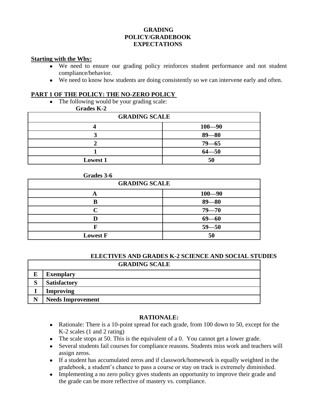## **GRADING POLICY/GRADEBOOK EXPECTATIONS**

#### **Starting with the Why:**

Г

- We need to ensure our grading policy reinforces student performance and not student compliance/behavior.
- We need to know how students are doing consistently so we can intervene early and often.

## **PART 1 OF THE POLICY: THE NO-ZERO POLICY**

The following would be your grading scale:

## **Grades K-2**

| <b>GRADING SCALE</b> |            |  |
|----------------------|------------|--|
|                      | $100 - 90$ |  |
|                      | $89 - 80$  |  |
|                      | $79 - 65$  |  |
|                      | $64 - 50$  |  |
| <b>Lowest 1</b>      | 50         |  |

#### **Grades 3-6**

| <b>GRADING SCALE</b> |            |  |
|----------------------|------------|--|
| H)                   | $100 - 90$ |  |
|                      | $89 - 80$  |  |
|                      | $79 - 70$  |  |
|                      | $69 - 60$  |  |
|                      | $59 - 50$  |  |
| <b>Lowest F</b>      | 50         |  |

#### **ELECTIVES AND GRADES K-2 SCIENCE AND SOCIAL STUDIES GRADING SCALE**

| UNADINU DUALIB    |                          |  |
|-------------------|--------------------------|--|
| E                 | <b>Exemplary</b>         |  |
| $\mathbf{C}$<br>◡ | <b>Satisfactory</b>      |  |
|                   | <b>Improving</b>         |  |
| N                 | <b>Needs Improvement</b> |  |

## **RATIONALE:**

- Rationale: There is a 10-point spread for each grade, from 100 down to 50, except for the K-2 scales (1 and 2 rating)
- The scale stops at 50. This is the equivalent of a 0. You cannot get a lower grade.
- Several students fail courses for compliance reasons. Students miss work and teachers will assign zeros.
- If a student has accumulated zeros and if classwork/homework is equally weighted in the gradebook, a student's chance to pass a course or stay on track is extremely diminished.
- Implementing a no zero policy gives students an opportunity to improve their grade and the grade can be more reflective of mastery vs. compliance.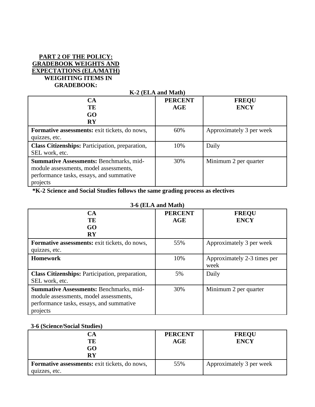## **PART 2 OF THE POLICY: GRADEBOOK WEIGHTS AND EXPECTATIONS (ELA/MATH) WEIGHTING ITEMS IN GRADEBOOK:**

#### **K-2 (ELA and Math) CA TE GO RY PERCENT AGE FREQU ENCY Formative assessments:** exit tickets, do nows, quizzes, etc. 60% Approximately 3 per week **Class Citizenships:** Participation, preparation, SEL work, etc. 10% Daily **Summative Assessments:** Benchmarks, midmodule assessments, model assessments, performance tasks, essays, and summative 30% Minimum 2 per quarter

**\*K-2 Science and Social Studies follows the same grading process as electives**

| 3-6 (ELA and Math)                                                                                                                               |                              |                                     |  |
|--------------------------------------------------------------------------------------------------------------------------------------------------|------------------------------|-------------------------------------|--|
| CA<br>TE                                                                                                                                         | <b>PERCENT</b><br><b>AGE</b> | <b>FREQU</b><br><b>ENCY</b>         |  |
| GO<br>$\mathbf{R}\mathbf{Y}$                                                                                                                     |                              |                                     |  |
| <b>Formative assessments:</b> exit tickets, do nows,                                                                                             | 55%                          | Approximately 3 per week            |  |
| quizzes, etc.                                                                                                                                    |                              |                                     |  |
| <b>Homework</b>                                                                                                                                  | 10%                          | Approximately 2-3 times per<br>week |  |
| <b>Class Citizenships:</b> Participation, preparation,<br>SEL work, etc.                                                                         | 5%                           | Daily                               |  |
| <b>Summative Assessments: Benchmarks, mid-</b><br>module assessments, model assessments,<br>performance tasks, essays, and summative<br>projects | 30%                          | Minimum 2 per quarter               |  |

## **3-6 (ELA and Math)**

#### **3-6 (Science/Social Studies)**

projects

| Δ                                                    | <b>PERCENT</b> | <b>FREQU</b>             |
|------------------------------------------------------|----------------|--------------------------|
| TE                                                   | AGE            | <b>ENCY</b>              |
| GO                                                   |                |                          |
| RY                                                   |                |                          |
| <b>Formative assessments:</b> exit tickets, do nows, | 55%            | Approximately 3 per week |
| quizzes, etc.                                        |                |                          |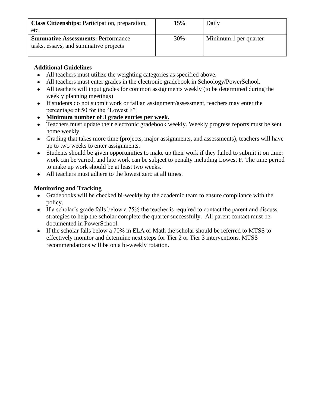| <b>Class Citizenships:</b> Participation, preparation,<br>etc.                     | 15% | Daily                 |
|------------------------------------------------------------------------------------|-----|-----------------------|
| <b>Summative Assessments: Performance</b><br>tasks, essays, and summative projects | 30% | Minimum 1 per quarter |

## **Additional Guidelines**

- All teachers must utilize the weighting categories as specified above.
- All teachers must enter grades in the electronic gradebook in Schoology/PowerSchool.
- All teachers will input grades for common assignments weekly (to be determined during the weekly planning meetings)
- If students do not submit work or fail an assignment/assessment, teachers may enter the percentage of 50 for the "Lowest F".
- **Minimum number of 3 grade entries per week.**
- Teachers must update their electronic gradebook weekly. Weekly progress reports must be sent home weekly.
- Grading that takes more time (projects, major assignments, and assessments), teachers will have up to two weeks to enter assignments.
- Students should be given opportunities to make up their work if they failed to submit it on time: work can be varied, and late work can be subject to penalty including Lowest F. The time period to make up work should be at least two weeks.
- All teachers must adhere to the lowest zero at all times.

## **Monitoring and Tracking**

- Gradebooks will be checked bi-weekly by the academic team to ensure compliance with the policy.
- If a scholar's grade falls below a 75% the teacher is required to contact the parent and discuss strategies to help the scholar complete the quarter successfully. All parent contact must be documented in PowerSchool.
- If the scholar falls below a 70% in ELA or Math the scholar should be referred to MTSS to effectively monitor and determine next steps for Tier 2 or Tier 3 interventions. MTSS recommendations will be on a bi-weekly rotation.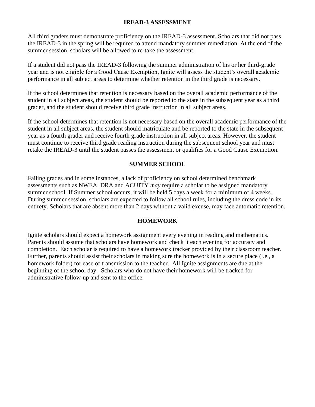## **IREAD-3 ASSESSMENT**

All third graders must demonstrate proficiency on the IREAD-3 assessment. Scholars that did not pass the IREAD-3 in the spring will be required to attend mandatory summer remediation. At the end of the summer session, scholars will be allowed to re-take the assessment.

If a student did not pass the IREAD-3 following the summer administration of his or her third-grade year and is not eligible for a Good Cause Exemption, Ignite will assess the student's overall academic performance in all subject areas to determine whether retention in the third grade is necessary.

If the school determines that retention is necessary based on the overall academic performance of the student in all subject areas, the student should be reported to the state in the subsequent year as a third grader, and the student should receive third grade instruction in all subject areas.

If the school determines that retention is not necessary based on the overall academic performance of the student in all subject areas, the student should matriculate and be reported to the state in the subsequent year as a fourth grader and receive fourth grade instruction in all subject areas. However, the student must continue to receive third grade reading instruction during the subsequent school year and must retake the IREAD-3 until the student passes the assessment or qualifies for a Good Cause Exemption.

## **SUMMER SCHOOL**

Failing grades and in some instances, a lack of proficiency on school determined benchmark assessments such as NWEA, DRA and ACUITY *may* require a scholar to be assigned mandatory summer school. If Summer school occurs, it will be held 5 days a week for a minimum of 4 weeks. During summer session, scholars are expected to follow all school rules, including the dress code in its entirety. Scholars that are absent more than 2 days without a valid excuse, may face automatic retention.

## **HOMEWORK**

Ignite scholars should expect a homework assignment every evening in reading and mathematics. Parents should assume that scholars have homework and check it each evening for accuracy and completion. Each scholar is required to have a homework tracker provided by their classroom teacher. Further, parents should assist their scholars in making sure the homework is in a secure place (i.e., a homework folder) for ease of transmission to the teacher. All Ignite assignments are due at the beginning of the school day. Scholars who do not have their homework will be tracked for administrative follow-up and sent to the office.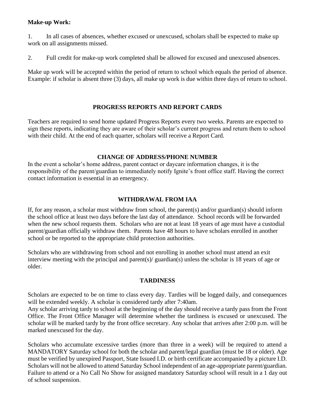## **Make-up Work:**

1. In all cases of absences, whether excused or unexcused, scholars shall be expected to make up work on all assignments missed.

2. Full credit for make-up work completed shall be allowed for excused and unexcused absences.

Make up work will be accepted within the period of return to school which equals the period of absence. Example: if scholar is absent three (3) days, all make up work is due within three days of return to school.

## **PROGRESS REPORTS AND REPORT CARDS**

Teachers are required to send home updated Progress Reports every two weeks. Parents are expected to sign these reports, indicating they are aware of their scholar's current progress and return them to school with their child. At the end of each quarter, scholars will receive a Report Card.

## **CHANGE OF ADDRESS/PHONE NUMBER**

In the event a scholar's home address, parent contact or daycare information changes, it is the responsibility of the parent/guardian to immediately notify Ignite's front office staff. Having the correct contact information is essential in an emergency.

## **WITHDRAWAL FROM IAA**

If, for any reason, a scholar must withdraw from school, the parent(s) and/or guardian(s) should inform the school office at least two days before the last day of attendance. School records will be forwarded when the new school requests them. Scholars who are not at least 18 years of age must have a custodial parent/guardian officially withdraw them. Parents have 48 hours to have scholars enrolled in another school or be reported to the appropriate child protection authorities.

Scholars who are withdrawing from school and not enrolling in another school must attend an exit interview meeting with the principal and parent(s)/ guardian(s) unless the scholar is 18 years of age or older.

#### **TARDINESS**

Scholars are expected to be on time to class every day. Tardies will be logged daily, and consequences will be extended weekly. A scholar is considered tardy after 7:40am.

Any scholar arriving tardy to school at the beginning of the day should receive a tardy pass from the Front Office. The Front Office Manager will determine whether the tardiness is excused or unexcused. The scholar will be marked tardy by the front office secretary. Any scholar that arrives after 2:00 p.m. will be marked unexcused for the day.

Scholars who accumulate excessive tardies (more than three in a week) will be required to attend a MANDATORY Saturday school for both the scholar and parent/legal guardian (must be 18 or older). Age must be verified by unexpired Passport, State Issued I.D. or birth certificate accompanied by a picture I.D. Scholars will not be allowed to attend Saturday School independent of an age-appropriate parent/guardian. Failure to attend or a No Call No Show for assigned mandatory Saturday school will result in a 1 day out of school suspension.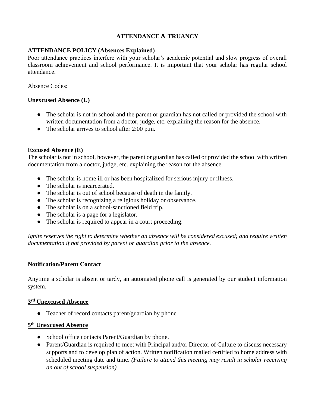## **ATTENDANCE & TRUANCY**

## **ATTENDANCE POLICY (Absences Explained)**

Poor attendance practices interfere with your scholar's academic potential and slow progress of overall classroom achievement and school performance. It is important that your scholar has regular school attendance.

Absence Codes:

## **Unexcused Absence (U)**

- The scholar is not in school and the parent or guardian has not called or provided the school with written documentation from a doctor, judge, etc. explaining the reason for the absence.
- The scholar arrives to school after 2:00 p.m.

#### **Excused Absence (E)**

The scholar is not in school, however, the parent or guardian has called or provided the school with written documentation from a doctor, judge, etc. explaining the reason for the absence.

- The scholar is home ill or has been hospitalized for serious injury or illness.
- The scholar is incarcerated.
- The scholar is out of school because of death in the family.
- The scholar is recognizing a religious holiday or observance.
- The scholar is on a school-sanctioned field trip.
- The scholar is a page for a legislator.
- The scholar is required to appear in a court proceeding.

*Ignite reserves the right to determine whether an absence will be considered excused; and require written documentation if not provided by parent or guardian prior to the absence.* 

## **Notification/Parent Contact**

Anytime a scholar is absent or tardy, an automated phone call is generated by our student information system.

#### **3 rd Unexcused Absence**

● Teacher of record contacts parent/guardian by phone.

#### **5 th Unexcused Absence**

- School office contacts Parent/Guardian by phone.
- Parent/Guardian is required to meet with Principal and/or Director of Culture to discuss necessary supports and to develop plan of action. Written notification mailed certified to home address with scheduled meeting date and time. *(Failure to attend this meeting may result in scholar receiving an out of school suspension).*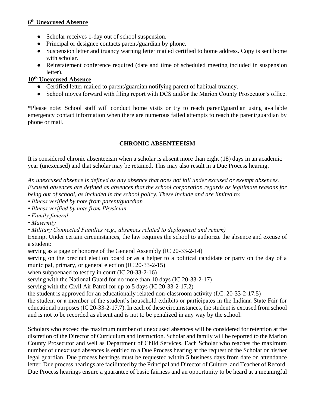## **6 th Unexcused Absence**

- Scholar receives 1-day out of school suspension.
- Principal or designee contacts parent/guardian by phone.
- Suspension letter and truancy warning letter mailed certified to home address. Copy is sent home with scholar.
- Reinstatement conference required (date and time of scheduled meeting included in suspension letter).

## **10th Unexcused Absence**

- Certified letter mailed to parent/guardian notifying parent of habitual truancy.
- School moves forward with filing report with DCS and/or the Marion County Prosecutor's office.

\*Please note: School staff will conduct home visits or try to reach parent/guardian using available emergency contact information when there are numerous failed attempts to reach the parent/guardian by phone or mail.

## **CHRONIC ABSENTEEISM**

It is considered chronic absenteeism when a scholar is absent more than eight (18) days in an academic year (unexcused) and that scholar may be retained. This may also result in a Due Process hearing.

*An unexcused absence is defined as any absence that does not fall under excused or exempt absences. Excused absences are defined as absences that the school corporation regards as legitimate reasons for being out of school, as included in the school policy. These include and are limited to:* 

*• Illness verified by note from parent/guardian* 

- *Illness verified by note from Physician*
- *Family funeral*
- *Maternity*

*• Military Connected Families (e.g., absences related to deployment and return)* 

Exempt Under certain circumstances, the law requires the school to authorize the absence and excuse of a student:

serving as a page or honoree of the General Assembly (IC 20-33-2-14)

serving on the precinct election board or as a helper to a political candidate or party on the day of a municipal, primary, or general election (IC 20-33-2-15)

when subpoenaed to testify in court (IC 20-33-2-16)

serving with the National Guard for no more than 10 days (IC 20-33-2-17)

serving with the Civil Air Patrol for up to 5 days (IC 20-33-2-17.2)

the student is approved for an educationally related non-classroom activity (I.C. 20-33-2-17.5)

the student or a member of the student's household exhibits or participates in the Indiana State Fair for educational purposes (IC 20-33-2-17.7). In each of these circumstances, the student is excused from school and is not to be recorded as absent and is not to be penalized in any way by the school.

Scholars who exceed the maximum number of unexcused absences will be considered for retention at the discretion of the Director of Curriculum and Instruction. Scholar and family will be reported to the Marion County Prosecutor and well as Department of Child Services. Each Scholar who reaches the maximum number of unexcused absences is entitled to a Due Process hearing at the request of the Scholar or his/her legal guardian. Due process hearings must be requested within 5 business days from date on attendance letter. Due process hearings are facilitated by the Principal and Director of Culture, and Teacher of Record. Due Process hearings ensure a guarantee of basic fairness and an opportunity to be heard at a meaningful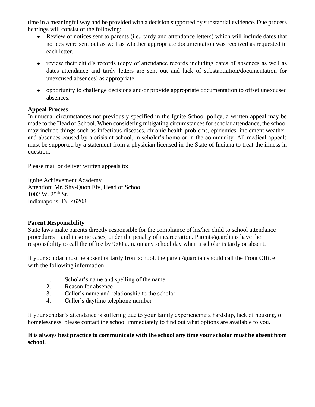time in a meaningful way and be provided with a decision supported by substantial evidence. Due process hearings will consist of the following:

- Review of notices sent to parents (i.e., tardy and attendance letters) which will include dates that notices were sent out as well as whether appropriate documentation was received as requested in each letter.
- review their child's records (copy of attendance records including dates of absences as well as dates attendance and tardy letters are sent out and lack of substantiation/documentation for unexcused absences) as appropriate.
- opportunity to challenge decisions and/or provide appropriate documentation to offset unexcused absences.

## **Appeal Process**

In unusual circumstances not previously specified in the Ignite School policy, a written appeal may be made to the Head of School. When considering mitigating circumstances for scholar attendance, the school may include things such as infectious diseases, chronic health problems, epidemics, inclement weather, and absences caused by a crisis at school, in scholar's home or in the community. All medical appeals must be supported by a statement from a physician licensed in the State of Indiana to treat the illness in question.

Please mail or deliver written appeals to:

Ignite Achievement Academy Attention: Mr. Shy-Quon Ely, Head of School 1002 W. 25<sup>th</sup> St. Indianapolis, IN 46208

## **Parent Responsibility**

State laws make parents directly responsible for the compliance of his/her child to school attendance procedures – and in some cases, under the penalty of incarceration. Parents/guardians have the responsibility to call the office by 9:00 a.m. on any school day when a scholar is tardy or absent.

If your scholar must be absent or tardy from school, the parent/guardian should call the Front Office with the following information:

- 1. Scholar's name and spelling of the name
- 2. Reason for absence
- 3. Caller's name and relationship to the scholar
- 4. Caller's daytime telephone number

If your scholar's attendance is suffering due to your family experiencing a hardship, lack of housing, or homelessness, please contact the school immediately to find out what options are available to you.

## **It is always best practice to communicate with the school any time your scholar must be absent from school.**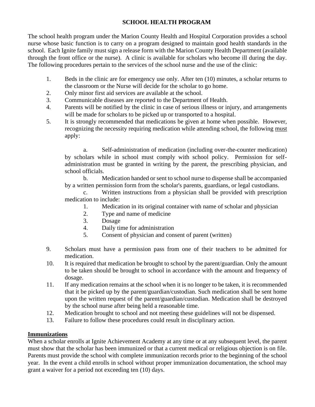## **SCHOOL HEALTH PROGRAM**

The school health program under the Marion County Health and Hospital Corporation provides a school nurse whose basic function is to carry on a program designed to maintain good health standards in the school. Each Ignite family must sign a release form with the Marion County Health Department (available through the front office or the nurse). A clinic is available for scholars who become ill during the day. The following procedures pertain to the services of the school nurse and the use of the clinic:

- 1. Beds in the clinic are for emergency use only. After ten (10) minutes, a scholar returns to the classroom or the Nurse will decide for the scholar to go home.
- 2. Only minor first aid services are available at the school.
- 3. Communicable diseases are reported to the Department of Health.
- 4. Parents will be notified by the clinic in case of serious illness or injury, and arrangements will be made for scholars to be picked up or transported to a hospital.
- 5. It is strongly recommended that medications be given at home when possible. However, recognizing the necessity requiring medication while attending school, the following must apply:

a. Self-administration of medication (including over-the-counter medication) by scholars while in school must comply with school policy. Permission for selfadministration must be granted in writing by the parent, the prescribing physician, and school officials.

b. Medication handed or sent to school nurse to dispense shall be accompanied by a written permission form from the scholar's parents, guardians, or legal custodians.

c. Written instructions from a physician shall be provided with prescription medication to include:

- 1. Medication in its original container with name of scholar and physician
- 2. Type and name of medicine
- 3. Dosage
- 4. Daily time for administration
- 5. Consent of physician and consent of parent (written)
- 9. Scholars must have a permission pass from one of their teachers to be admitted for medication.
- 10. It is required that medication be brought to school by the parent/guardian. Only the amount to be taken should be brought to school in accordance with the amount and frequency of dosage.
- 11. If any medication remains at the school when it is no longer to be taken, it is recommended that it be picked up by the parent/guardian/custodian. Such medication shall be sent home upon the written request of the parent/guardian/custodian. Medication shall be destroyed by the school nurse after being held a reasonable time.
- 12. Medication brought to school and not meeting these guidelines will not be dispensed.
- 13. Failure to follow these procedures could result in disciplinary action.

## **Immunizations**

When a scholar enrolls at Ignite Achievement Academy at any time or at any subsequent level, the parent must show that the scholar has been immunized or that a current medical or religious objection is on file. Parents must provide the school with complete immunization records prior to the beginning of the school year. In the event a child enrolls in school without proper immunization documentation, the school may grant a waiver for a period not exceeding ten (10) days.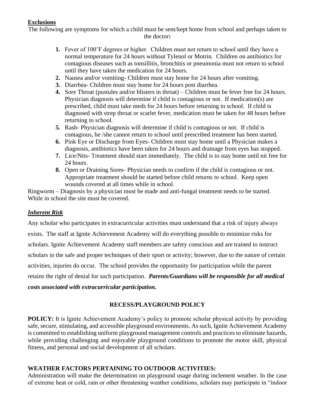## **Exclusions**

The following are symptoms for which a child must be sent/kept home from school and perhaps taken to the doctor**:**

- **1.** Fever of 100'F degrees or higher. Children must not return to school until they have a normal temperature for 24 hours without Tylenol or Motrin. Children on antibiotics for contagious diseases such as tonsillitis, bronchitis or pneumonia must not return to school until they have taken the medication for 24 hours.
- **2.** Nausea and/or vomiting**-** Children must stay home for 24 hours after vomiting.
- **3.** Diarrhea- Children must stay home for 24 hours post diarrhea.
- **4.** Sore Throat (pustules and/or blisters in throat) Children must be fever free for 24 hours. Physician diagnosis will determine if child is contagious or not. If medication(s) are prescribed, child must take meds for 24 hours before returning to school. If child is diagnosed with strep throat or scarlet fever, medication must be taken for 48 hours before returning to school.
- **5.** Rash- Physician diagnosis will determine if child is contagious or not. If child is contagious, he /she cannot return to school until prescribed treatment has been started.
- **6.** Pink Eye or Discharge from Eyes- Children must stay home until a Physician makes a diagnosis, antibiotics have been taken for 24 hours and drainage from eyes has stopped.
- **7.** Lice/Nits- Treatment should start immediately. The child is to stay home until nit free for 24 hours.
- **8.** Open or Draining Sores- Physician needs to confirm if the child is contagious or not. Appropriate treatment should be started before child returns to school. Keep open wounds covered at all times while in school.

Ringworm – Diagnosis by a physician must be made and anti-fungal treatment needs to be started. While in school the site must be covered.

## *Inherent Risk*

Any scholar who participates in extracurricular activities must understand that a risk of injury always exists. The staff at Ignite Achievement Academy will do everything possible to minimize risks for scholars. Ignite Achievement Academy staff members are safety conscious and are trained to instruct scholars in the safe and proper techniques of their sport or activity; however, due to the nature of certain activities, injuries do occur. The school provides the opportunity for participation while the parent retains the right of denial for such participation. *Parents/Guardians will be responsible for all medical* 

## *costs associated with extracurricular participation.*

## **RECESS/PLAYGROUND POLICY**

**POLICY:** It is Ignite Achievement Academy's policy to promote scholar physical activity by providing safe, secure, stimulating, and accessible playground environments. As such, Ignite Achievement Academy is committed to establishing uniform playground management controls and practices to eliminate hazards, while providing challenging and enjoyable playground conditions to promote the motor skill, physical fitness, and personal and social development of all scholars.

## **WEATHER FACTORS PERTAINING TO OUTDOOR ACTIVITIES:**

Administration will make the determination on playground usage during inclement weather. In the case of extreme heat or cold, rain or other threatening weather conditions, scholars may participate in "indoor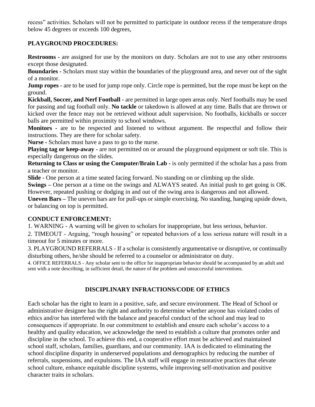recess" activities. Scholars will not be permitted to participate in outdoor recess if the temperature drops below 45 degrees or exceeds 100 degrees,

## **PLAYGROUND PROCEDURES:**

**Restrooms -** are assigned for use by the monitors on duty. Scholars are not to use any other restrooms except those designated.

**Boundaries -** Scholars must stay within the boundaries of the playground area, and never out of the sight of a monitor.

**Jump ropes** - are to be used for jump rope only. Circle rope is permitted, but the rope must be kept on the ground.

**Kickball, Soccer, and Nerf Football -** are permitted in large open areas only. Nerf footballs may be used for passing and tag football only. **No tackle** or takedown is allowed at any time. Balls that are thrown or kicked over the fence may not be retrieved without adult supervision. No footballs, kickballs or soccer balls are permitted within proximity to school windows.

**Monitors -** are to be respected and listened to without argument. Be respectful and follow their instructions. They are there for scholar safety.

**Nurse -** Scholars must have a pass to go to the nurse.

**Playing tag or keep-away -** are not permitted on or around the playground equipment or soft tile. This is especially dangerous on the slides.

**Returning to Class or using the Computer/Brain Lab -** is only permitted if the scholar has a pass from a teacher or monitor.

**Slide -** One person at a time seated facing forward. No standing on or climbing up the slide.

**Swings –** One person at a time on the swings and ALWAYS seated. An initial push to get going is OK. However, repeated pushing or dodging in and out of the swing area is dangerous and not allowed.

**Uneven Bars –** The uneven bars are for pull-ups or simple exercising. No standing, hanging upside down, or balancing on top is permitted.

## **CONDUCT ENFORCEMENT:**

1. WARNING - A warning will be given to scholars for inappropriate, but less serious, behavior.

2. TIMEOUT - Arguing, "rough housing" or repeated behaviors of a less serious nature will result in a timeout for 5 minutes or more.

3. PLAYGROUND REFERRALS - If a scholar is consistently argumentative or disruptive, or continually disturbing others, he/she should be referred to a counselor or administrator on duty.

4. OFFICE REFERRALS - Any scholar sent to the office for inappropriate behavior should be accompanied by an adult and sent with a note describing, in sufficient detail, the nature of the problem and unsuccessful interventions.

## **DISCIPLINARY INFRACTIONS/CODE OF ETHICS**

Each scholar has the right to learn in a positive, safe, and secure environment. The Head of School or administrative designee has the right and authority to determine whether anyone has violated codes of ethics and/or has interfered with the balance and peaceful conduct of the school and may lead to consequences if appropriate. In our commitment to establish and ensure each scholar's access to a healthy and quality education, we acknowledge the need to establish a culture that promotes order and discipline in the school. To achieve this end, a cooperative effort must be achieved and maintained school staff, scholars, families, guardians, and our community. IAA is dedicated to eliminating the school discipline disparity in underserved populations and demographics by reducing the number of referrals, suspensions, and expulsions. The IAA staff will engage in restorative practices that elevate school culture, enhance equitable discipline systems, while improving self-motivation and positive character traits in scholars.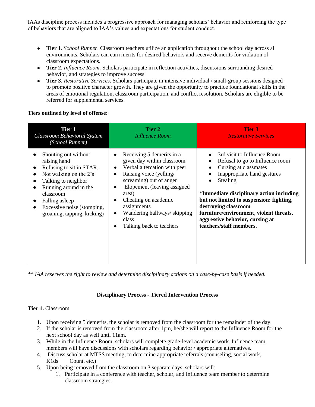IAAs discipline process includes a progressive approach for managing scholars' behavior and reinforcing the type of behaviors that are aligned to IAA's values and expectations for student conduct.

- **Tier 1**. *School Runner*. Classroom teachers utilize an application throughout the school day across all environments. Scholars can earn merits for desired behaviors and receive demerits for violation of classroom expectations.
- **Tier 2**. *Influence Room*. Scholars participate in reflection activities, discussions surrounding desired behavior, and strategies to improve success.
- **Tier 3**. *Restorative Services*. Scholars participate in intensive individual / small-group sessions designed to promote positive character growth. They are given the opportunity to practice foundational skills in the areas of emotional regulation, classroom participation, and conflict resolution. Scholars are eligible to be referred for supplemental services.

#### **Tiers outlined by level of offense:**

| <b>Tier 1</b><br><b>Classroom Behavioral System</b><br>(School Runner)                                                                                                                                                                 | Tier 2<br><b>Influence Room</b>                                                                                                                                                                                                                                                                                                                                                | Tier 3<br><b>Restorative Services</b>                                                                                                                                                                                                                                                                                                                                    |
|----------------------------------------------------------------------------------------------------------------------------------------------------------------------------------------------------------------------------------------|--------------------------------------------------------------------------------------------------------------------------------------------------------------------------------------------------------------------------------------------------------------------------------------------------------------------------------------------------------------------------------|--------------------------------------------------------------------------------------------------------------------------------------------------------------------------------------------------------------------------------------------------------------------------------------------------------------------------------------------------------------------------|
| Shouting out without<br>raising hand<br>Refusing to sit in STAR.<br>Not walking on the 2's<br>Talking to neighbor<br>Running around in the<br>classroom<br>Falling asleep<br>Excessive noise (stomping,<br>groaning, tapping, kicking) | Receiving 5 demerits in a<br>$\bullet$<br>given day within classroom<br>Verbal altercation with peer<br>$\bullet$<br>Raising voice (yelling/<br>$\bullet$<br>screaming) out of anger<br>Elopement (leaving assigned<br>$\bullet$<br>area)<br>Cheating on academic<br>$\bullet$<br>assignments<br>Wandering hallways/skipping<br>$\bullet$<br>class<br>Talking back to teachers | 3rd visit to Influence Room<br>Refusal to go to Influence room<br>Cursing at classmates<br>Inappropriate hand gestures<br>Stealing<br>$\bullet$<br>*Immediate disciplinary action including<br>but not limited to suspension: fighting,<br>destroying classroom<br>furniture/environment, violent threats,<br>aggressive behavior, cursing at<br>teachers/staff members. |

*\*\* IAA reserves the right to review and determine disciplinary actions on a case-by-case basis if needed.*

#### **Disciplinary Process - Tiered Intervention Process**

#### **Tier 1.** Classroom

- 1. Upon receiving 5 demerits, the scholar is removed from the classroom for the remainder of the day.
- 2. If the scholar is removed from the classroom after 1pm, he/she will report to the Influence Room for the next school day as well until 11am.
- 3. While in the Influence Room, scholars will complete grade-level academic work. Influence team members will have discussions with scholars regarding behavior / appropriate alternatives.
- 4. Discuss scholar at MTSS meeting, to determine appropriate referrals (counseling, social work, K1ds Count, etc.)
- 5. Upon being removed from the classroom on 3 separate days, scholars will:
	- 1. Participate in a conference with teacher, scholar, and Influence team member to determine classroom strategies.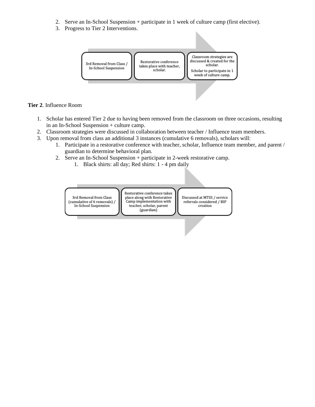- 2. Serve an In-School Suspension + participate in 1 week of culture camp (first elective).
- 3. Progress to Tier 2 Interventions.



#### **Tier 2**. Influence Room

- 1. Scholar has entered Tier 2 due to having been removed from the classroom on three occasions, resulting in an In-School Suspension + culture camp.
- 2. Classroom strategies were discussed in collaboration between teacher / Influence team members.
- 3. Upon removal from class an additional 3 instances (cumulative 6 removals), scholars will:
	- 1. Participate in a restorative conference with teacher, scholar, Influence team member, and parent / guardian to determine behavioral plan.
	- 2. Serve an In-School Suspension + participate in 2-week restorative camp.
		- 1. Black shirts: all day; Red shirts: 1 4 pm daily

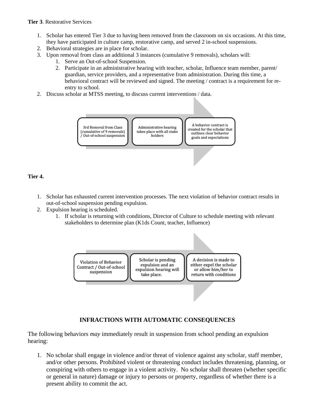#### **Tier 3**. Restorative Services

- 1. Scholar has entered Tier 3 due to having been removed from the classroom on six occasions. At this time, they have participated in culture camp, restorative camp, and served 2 in-school suspensions.
- 2. Behavioral strategies are in place for scholar.
- 3. Upon removal from class an additional 3 instances (cumulative 9 removals), scholars will:
	- 1. Serve an Out-of-school Suspension.
	- 2. Participate in an administrative hearing with teacher, scholar, Influence team member, parent/ guardian, service providers, and a representative from administration. During this time, a behavioral contract will be reviewed and signed. The meeting / contract is a requirement for reentry to school.
- 2. Discuss scholar at MTSS meeting, to discuss current interventions / data.



#### **Tier 4.**

- 1. Scholar has exhausted current intervention processes. The next violation of behavior contract results in out-of-school suspension pending expulsion.
- 2. Expulsion hearing is scheduled.
	- 1. If scholar is returning with conditions, Director of Culture to schedule meeting with relevant stakeholders to determine plan (K1ds Count, teacher, Influence)



## **INFRACTIONS WITH AUTOMATIC CONSEQUENCES**

The following behaviors *may* immediately result in suspension from school pending an expulsion hearing:

1. No scholar shall engage in violence and/or threat of violence against any scholar, staff member, and/or other persons. Prohibited violent or threatening conduct includes threatening, planning, or conspiring with others to engage in a violent activity. No scholar shall threaten (whether specific or general in nature) damage or injury to persons or property, regardless of whether there is a present ability to commit the act.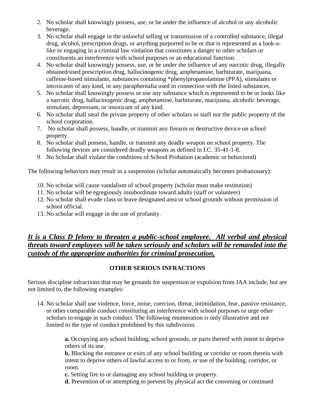- 2. No scholar shall knowingly possess, use, or be under the influence of alcohol or any alcoholic beverage.
- 3. No scholar shall engage in the unlawful selling or transmission of a controlled substance, illegal drug, alcohol, prescription drugs, or anything purported to be or that is represented as a look-alike or engaging in a criminal law violation that constitutes a danger to other scholars or constituents an interference with school purposes or an educational function.
- 4. No scholar shall knowingly possess, use, or be under the influence of any narcotic drug, illegally obtained/used prescription drug, hallucinogenic drug, amphetamine, barbiturate, marijuana, caffeine-based stimulants, substances containing \*phenylpropanolamine (PPA), stimulants or intoxicants of any kind, or any paraphernalia used in connection with the listed substances.
- 5. No scholar shall knowingly possess or use any substance which is represented to be or looks like a narcotic drug, hallucinogenic drug, amphetamine, barbiturate, marijuana, alcoholic beverage, stimulant, depressant, or intoxicant of any kind.
- 6. No scholar shall steal the private property of other scholars or staff nor the public property of the school corporation.
- 7. No scholar shall possess, handle, or transmit any firearm or destructive device on school property.
- 8. No scholar shall possess, handle, or transmit any deadly weapon on school property. The following devices are considered deadly weapons as defined in I.C. 35-41-1-8.
- 9. No Scholar shall violate the conditions of School Probation (academic or behavioral)

The following behaviors may result in a suspension (scholar automatically becomes probationary):

- 10. No scholar will cause vandalism of school property (scholar must make restitution)
- 11. No scholar will be egregiously insubordinate toward adults (staff or volunteer)
- 12. No scholar shall evade class or leave designated area or school grounds without permission of school official.
- 13. No scholar will engage in the use of profanity.

## *It is a Class D felony to threaten a public-school employee. All verbal and physical threats toward employees will be taken seriously and scholars will be remanded into the custody of the appropriate authorities for criminal prosecution.*

## **OTHER SERIOUS INFRACTIONS**

Serious discipline infractions that may be grounds for suspension or expulsion from IAA include, but are not limited to, the following examples:

14. No scholar shall use violence, force, noise, coercion, threat, intimidation, fear, passive resistance, or other comparable conduct constituting an interference with school purposes or urge other scholars to engage in such conduct. The following enumeration is only illustrative and not limited to the type of conduct prohibited by this subdivision.

> **a.** Occupying any school building, school grounds, or parts thereof with intent to deprive others of its use.

> **b.** Blocking the entrance or exits of any school building or corridor or room therein with intent to deprive others of lawful access to or from, or use of the building, corridor, or room.

**c.** Setting fire to or damaging any school building or property.

**d.** Prevention of or attempting to prevent by physical act the convening or continued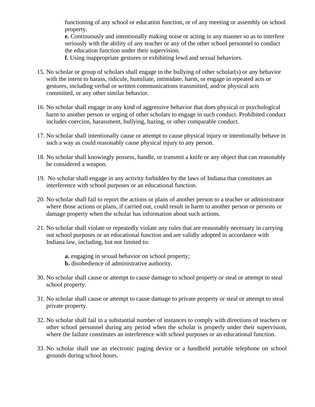functioning of any school or education function, or of any meeting or assembly on school property.

**e.** Continuously and intentionally making noise or acting in any manner so as to interfere seriously with the ability of any teacher or any of the other school personnel to conduct the education function under their supervision.

**f.** Using inappropriate gestures or exhibiting lewd and sexual behaviors.

- 15. No scholar or group of scholars shall engage in the bullying of other scholar(s) or any behavior with the intent to harass, ridicule, humiliate, intimidate, harm, or engage in repeated acts or gestures, including verbal or written communications transmitted, and/or physical acts committed, or any other similar behavior.
- 16. No scholar shall engage in any kind of aggressive behavior that does physical or psychological harm to another person or urging of other scholars to engage in such conduct. Prohibited conduct includes coercion, harassment, bullying, hazing, or other comparable conduct.
- 17. No scholar shall intentionally cause or attempt to cause physical injury or intentionally behave in such a way as could reasonably cause physical injury to any person.
- 18. No scholar shall knowingly possess, handle, or transmit a knife or any object that can reasonably be considered a weapon.
- 19. No scholar shall engage in any activity forbidden by the laws of Indiana that constitutes an interference with school purposes or an educational function.
- 20. No scholar shall fail to report the actions or plans of another person to a teacher or administrator where those actions or plans, if carried out, could result in harm to another person or persons or damage property when the scholar has information about such actions.
- 21. No scholar shall violate or repeatedly violate any rules that are reasonably necessary in carrying out school purposes or an educational function and are validly adopted in accordance with Indiana law, including, but not limited to:

**a.** engaging in sexual behavior on school property;

- **b.** disobedience of administrative authority.
- 30. No scholar shall cause or attempt to cause damage to school property or steal or attempt to steal school property.
- 31. No scholar shall cause or attempt to cause damage to private property or steal or attempt to steal private property.
- 32. No scholar shall fail in a substantial number of instances to comply with directions of teachers or other school personnel during any period when the scholar is properly under their supervision, where the failure constitutes an interference with school purposes or an educational function.
- 33. No scholar shall use an electronic paging device or a handheld portable telephone on school grounds during school hours.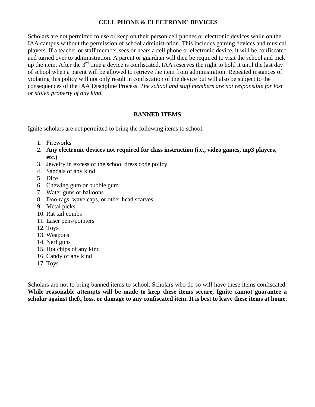## **CELL PHONE & ELECTRONIC DEVICES**

Scholars are not permitted to use or keep on their person cell phones or electronic devices while on the IAA campus without the permission of school administration. This includes gaming devices and musical players. If a teacher or staff member sees or hears a cell phone or electronic device, it will be confiscated and turned over to administration. A parent or guardian will then be required to visit the school and pick up the item. After the 3<sup>rd</sup> time a device is confiscated, IAA reserves the right to hold it until the last day of school when a parent will be allowed to retrieve the item from administration. Repeated instances of violating this policy will not only result in confiscation of the device but will also be subject to the consequences of the IAA Discipline Process. *The school and staff members are not responsible for lost or stolen property of any kind.*

## **BANNED ITEMS**

Ignite scholars are not permitted to bring the following items to school:

- 1. Fireworks
- **2. Any electronic devices not required for class instruction (i.e., video games, mp3 players, etc.)**
- 3. Jewelry in excess of the school dress code policy
- 4. Sandals of any kind
- 5. Dice
- 6. Chewing gum or bubble gum
- 7. Water guns or balloons
- 8. Doo-rags, wave caps, or other head scarves
- 9. Metal picks
- 10. Rat tail combs
- 11. Laser pens/pointers
- 12. Toys
- 13. Weapons
- 14. Nerf guns
- 15. Hot chips of any kind
- 16. Candy of any kind
- 17. Toys

Scholars are not to bring banned items to school. Scholars who do so will have these items confiscated. **While reasonable attempts will be made to keep these items secure, Ignite cannot guarantee a scholar against theft, loss, or damage to any confiscated item. It is best to leave these items at home.**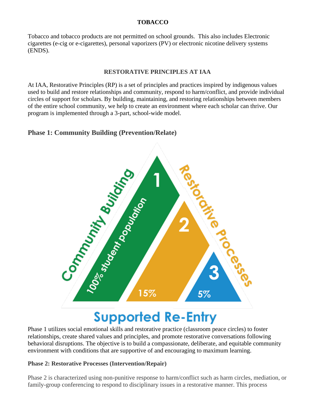## **TOBACCO**

Tobacco and tobacco products are not permitted on school grounds. This also includes Electronic cigarettes (e-cig or e-cigarettes), personal vaporizers (PV) or electronic nicotine delivery systems (ENDS).

## **RESTORATIVE PRINCIPLES AT IAA**

At IAA, Restorative Principles (RP) is a set of principles and practices inspired by indigenous values used to build and restore relationships and community, respond to harm/conflict, and provide individual circles of support for scholars. By building, maintaining, and restoring relationships between members of the entire school community, we help to create an environment where each scholar can thrive. Our program is implemented through a 3-part, school-wide model.

## **Phase 1: Community Building (Prevention/Relate)**



# **Supported Re-Entry**

Phase 1 utilizes social emotional skills and restorative practice (classroom peace circles) to foster relationships, create shared values and principles, and promote restorative conversations following behavioral disruptions. The objective is to build a compassionate, deliberate, and equitable community environment with conditions that are supportive of and encouraging to maximum learning.

## **Phase 2: Restorative Processes (Intervention/Repair)**

Phase 2 is characterized using non-punitive response to harm/conflict such as harm circles, mediation, or family-group conferencing to respond to disciplinary issues in a restorative manner. This process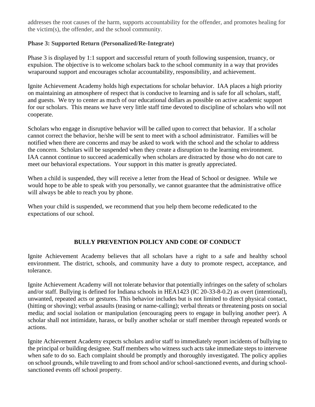addresses the root causes of the harm, supports accountability for the offender, and promotes healing for the victim(s), the offender, and the school community.

## **Phase 3: Supported Return (Personalized/Re-Integrate)**

Phase 3 is displayed by 1:1 support and successful return of youth following suspension, truancy, or expulsion. The objective is to welcome scholars back to the school community in a way that provides wraparound support and encourages scholar accountability, responsibility, and achievement.

Ignite Achievement Academy holds high expectations for scholar behavior. IAA places a high priority on maintaining an atmosphere of respect that is conducive to learning and is safe for all scholars, staff, and guests. We try to center as much of our educational dollars as possible on active academic support for our scholars. This means we have very little staff time devoted to discipline of scholars who will not cooperate.

Scholars who engage in disruptive behavior will be called upon to correct that behavior. If a scholar cannot correct the behavior, he/she will be sent to meet with a school administrator. Families will be notified when there are concerns and may be asked to work with the school and the scholar to address the concern. Scholars will be suspended when they create a disruption to the learning environment. IAA cannot continue to succeed academically when scholars are distracted by those who do not care to meet our behavioral expectations. Your support in this matter is greatly appreciated.

When a child is suspended, they will receive a letter from the Head of School or designee. While we would hope to be able to speak with you personally, we cannot guarantee that the administrative office will always be able to reach you by phone.

When your child is suspended, we recommend that you help them become rededicated to the expectations of our school.

## **BULLY PREVENTION POLICY AND CODE OF CONDUCT**

Ignite Achievement Academy believes that all scholars have a right to a safe and healthy school environment. The district, schools, and community have a duty to promote respect, acceptance, and tolerance.

Ignite Achievement Academy will not tolerate behavior that potentially infringes on the safety of scholars and/or staff. Bullying is defined for Indiana schools in HEA1423 (IC 20-33-8-0.2) as overt (intentional), unwanted, repeated acts or gestures. This behavior includes but is not limited to direct physical contact, (hitting or shoving); verbal assaults (teasing or name-calling); verbal threats or threatening posts on social media; and social isolation or manipulation (encouraging peers to engage in bullying another peer). A scholar shall not intimidate, harass, or bully another scholar or staff member through repeated words or actions.

Ignite Achievement Academy expects scholars and/or staff to immediately report incidents of bullying to the principal or building designee. Staff members who witness such acts take immediate steps to intervene when safe to do so. Each complaint should be promptly and thoroughly investigated. The policy applies on school grounds, while traveling to and from school and/or school-sanctioned events, and during schoolsanctioned events off school property.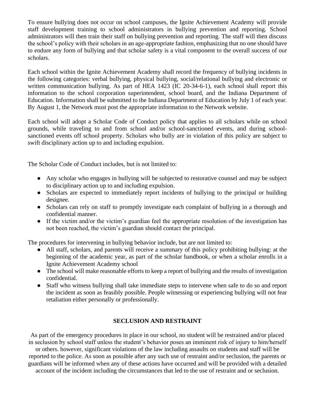To ensure bullying does not occur on school campuses, the Ignite Achievement Academy will provide staff development training to school administrators in bullying prevention and reporting. School administrators will then train their staff on bullying prevention and reporting. The staff will then discuss the school's policy with their scholars in an age-appropriate fashion, emphasizing that no one should have to endure any form of bullying and that scholar safety is a vital component to the overall success of our scholars.

Each school within the Ignite Achievement Academy shall record the frequency of bullying incidents in the following categories: verbal bullying, physical bullying, social/relational bullying and electronic or written communication bullying. As part of HEA 1423 (IC 20-34-6-1), each school shall report this information to the school corporation superintendent, school board, and the Indiana Department of Education. Information shall be submitted to the Indiana Department of Education by July 1 of each year. By August 1, the Network must post the appropriate information to the Network website.

Each school will adopt a Scholar Code of Conduct policy that applies to all scholars while on school grounds, while traveling to and from school and/or school-sanctioned events, and during schoolsanctioned events off school property. Scholars who bully are in violation of this policy are subject to swift disciplinary action up to and including expulsion.

The Scholar Code of Conduct includes, but is not limited to:

- Any scholar who engages in bullying will be subjected to restorative counsel and may be subject to disciplinary action up to and including expulsion.
- Scholars are expected to immediately report incidents of bullying to the principal or building designee.
- Scholars can rely on staff to promptly investigate each complaint of bullying in a thorough and confidential manner.
- If the victim and/or the victim's guardian feel the appropriate resolution of the investigation has not been reached, the victim's guardian should contact the principal.

The procedures for intervening in bullying behavior include, but are not limited to:

- All staff, scholars, and parents will receive a summary of this policy prohibiting bullying: at the beginning of the academic year, as part of the scholar handbook, or when a scholar enrolls in a Ignite Achievement Academy school
- The school will make reasonable efforts to keep a report of bullying and the results of investigation confidential.
- Staff who witness bullying shall take immediate steps to intervene when safe to do so and report the incident as soon as feasibly possible. People witnessing or experiencing bullying will not fear retaliation either personally or professionally.

## **SECLUSION AND RESTRAINT**

As part of the emergency procedures in place in our school, no student will be restrained and/or placed in seclusion by school staff unless the student's behavior poses an imminent risk of injury to him/herself or others. however, significant violations of the law including assaults on students and staff will be reported to the police. As soon as possible after any such use of restraint and/or seclusion, the parents or guardians will be informed when any of these actions have occurred and will be provided with a detailed account of the incident including the circumstances that led to the use of restraint and or seclusion.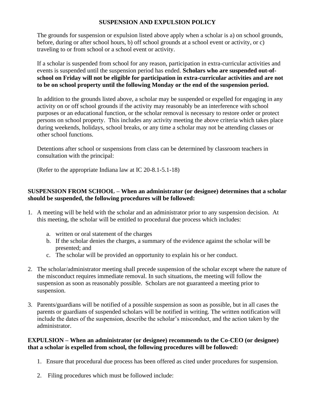## **SUSPENSION AND EXPULSION POLICY**

The grounds for suspension or expulsion listed above apply when a scholar is a) on school grounds, before, during or after school hours, b) off school grounds at a school event or activity, or c) traveling to or from school or a school event or activity.

If a scholar is suspended from school for any reason, participation in extra-curricular activities and events is suspended until the suspension period has ended. **Scholars who are suspended out-ofschool on Friday will not be eligible for participation in extra-curricular activities and are not to be on school property until the following Monday or the end of the suspension period.**

In addition to the grounds listed above, a scholar may be suspended or expelled for engaging in any activity on or off school grounds if the activity may reasonably be an interference with school purposes or an educational function, or the scholar removal is necessary to restore order or protect persons on school property. This includes any activity meeting the above criteria which takes place during weekends, holidays, school breaks, or any time a scholar may not be attending classes or other school functions.

Detentions after school or suspensions from class can be determined by classroom teachers in consultation with the principal:

(Refer to the appropriate Indiana law at IC 20-8.1-5.1-18)

## **SUSPENSION FROM SCHOOL – When an administrator (or designee) determines that a scholar should be suspended, the following procedures will be followed:**

- 1. A meeting will be held with the scholar and an administrator prior to any suspension decision. At this meeting, the scholar will be entitled to procedural due process which includes:
	- a. written or oral statement of the charges
	- b. If the scholar denies the charges, a summary of the evidence against the scholar will be presented; and
	- c. The scholar will be provided an opportunity to explain his or her conduct.
- 2. The scholar/administrator meeting shall precede suspension of the scholar except where the nature of the misconduct requires immediate removal. In such situations, the meeting will follow the suspension as soon as reasonably possible. Scholars are not guaranteed a meeting prior to suspension.
- 3. Parents/guardians will be notified of a possible suspension as soon as possible, but in all cases the parents or guardians of suspended scholars will be notified in writing. The written notification will include the dates of the suspension, describe the scholar's misconduct, and the action taken by the administrator.

## **EXPULSION – When an administrator (or designee) recommends to the Co-CEO (or designee) that a scholar is expelled from school, the following procedures will be followed:**

- 1. Ensure that procedural due process has been offered as cited under procedures for suspension.
- 2. Filing procedures which must be followed include: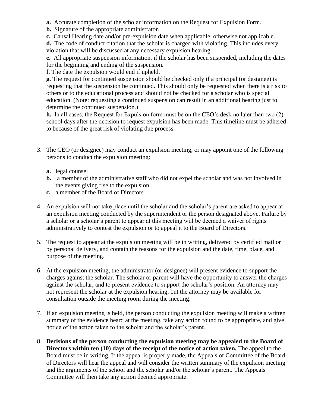- **a.** Accurate completion of the scholar information on the Request for Expulsion Form.
- **b.** Signature of the appropriate administrator.
- **c.** Causal Hearing date and/or pre-expulsion date when applicable, otherwise not applicable.

**d.** The code of conduct citation that the scholar is charged with violating. This includes every violation that will be discussed at any necessary expulsion hearing.

**e.** All appropriate suspension information, if the scholar has been suspended, including the dates for the beginning and ending of the suspension.

**f.** The date the expulsion would end if upheld.

**g.** The request for continued suspension should be checked only if a principal (or designee) is requesting that the suspension be continued. This should only be requested when there is a risk to others or to the educational process and should not be checked for a scholar who is special education. (Note: requesting a continued suspension can result in an additional hearing just to determine the continued suspension.)

**h.** In all cases, the Request for Expulsion form must be on the CEO's desk no later than two (2) school days after the decision to request expulsion has been made. This timeline must be adhered to because of the great risk of violating due process.

- 3. The CEO (or designee) may conduct an expulsion meeting, or may appoint one of the following persons to conduct the expulsion meeting:
	- **a.** legal counsel
	- **b.** a member of the administrative staff who did not expel the scholar and was not involved in the events giving rise to the expulsion.
	- **c.** a member of the Board of Directors
- 4. An expulsion will not take place until the scholar and the scholar's parent are asked to appear at an expulsion meeting conducted by the superintendent or the person designated above. Failure by a scholar or a scholar's parent to appear at this meeting will be deemed a waiver of rights administratively to contest the expulsion or to appeal it to the Board of Directors.
- 5. The request to appear at the expulsion meeting will be in writing, delivered by certified mail or by personal delivery, and contain the reasons for the expulsion and the date, time, place, and purpose of the meeting.
- 6. At the expulsion meeting, the administrator (or designee) will present evidence to support the charges against the scholar. The scholar or parent will have the opportunity to answer the charges against the scholar, and to present evidence to support the scholar's position. An attorney may not represent the scholar at the expulsion hearing, but the attorney may be available for consultation outside the meeting room during the meeting.
- 7. If an expulsion meeting is held, the person conducting the expulsion meeting will make a written summary of the evidence heard at the meeting, take any action found to be appropriate, and give notice of the action taken to the scholar and the scholar's parent.
- 8. **Decisions of the person conducting the expulsion meeting may be appealed to the Board of Directors within ten (10) days of the receipt of the notice of action taken.** The appeal to the Board must be in writing. If the appeal is properly made, the Appeals of Committee of the Board of Directors will hear the appeal and will consider the written summary of the expulsion meeting and the arguments of the school and the scholar and/or the scholar's parent. The Appeals Committee will then take any action deemed appropriate.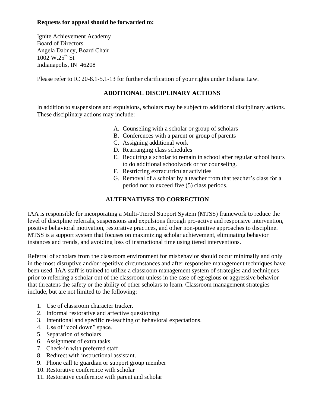## **Requests for appeal should be forwarded to:**

Ignite Achievement Academy Board of Directors Angela Dabney, Board Chair  $1002 \text{ W}.25^{\text{th}}$  St Indianapolis, IN 46208

Please refer to IC 20-8.1-5.1-13 for further clarification of your rights under Indiana Law.

## **ADDITIONAL DISCIPLINARY ACTIONS**

In addition to suspensions and expulsions, scholars may be subject to additional disciplinary actions. These disciplinary actions may include:

- A. Counseling with a scholar or group of scholars
- B. Conferences with a parent or group of parents
- C. Assigning additional work
- D. Rearranging class schedules
- E. Requiring a scholar to remain in school after regular school hours to do additional schoolwork or for counseling.
- F. Restricting extracurricular activities
- G. Removal of a scholar by a teacher from that teacher's class for a period not to exceed five (5) class periods.

## **ALTERNATIVES TO CORRECTION**

IAA is responsible for incorporating a Multi-Tiered Support System (MTSS) framework to reduce the level of discipline referrals, suspensions and expulsions through pro-active and responsive intervention, positive behavioral motivation, restorative practices, and other non-punitive approaches to discipline. MTSS is a support system that focuses on maximizing scholar achievement, eliminating behavior instances and trends, and avoiding loss of instructional time using tiered interventions.

Referral of scholars from the classroom environment for misbehavior should occur minimally and only in the most disruptive and/or repetitive circumstances and after responsive management techniques have been used. IAA staff is trained to utilize a classroom management system of strategies and techniques prior to referring a scholar out of the classroom unless in the case of egregious or aggressive behavior that threatens the safety or the ability of other scholars to learn. Classroom management strategies include, but are not limited to the following:

- 1. Use of classroom character tracker.
- 2. Informal restorative and affective questioning
- 3. Intentional and specific re-teaching of behavioral expectations.
- 4. Use of "cool down" space.
- 5. Separation of scholars
- 6. Assignment of extra tasks
- 7. Check-in with preferred staff
- 8. Redirect with instructional assistant.
- 9. Phone call to guardian or support group member
- 10. Restorative conference with scholar
- 11. Restorative conference with parent and scholar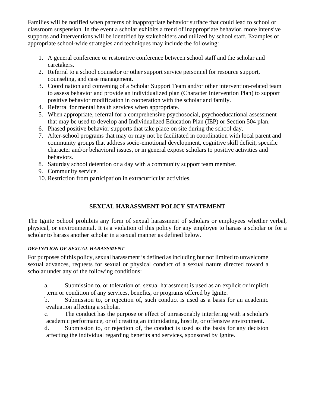Families will be notified when patterns of inappropriate behavior surface that could lead to school or classroom suspension. In the event a scholar exhibits a trend of inappropriate behavior, more intensive supports and interventions will be identified by stakeholders and utilized by school staff. Examples of appropriate school-wide strategies and techniques may include the following:

- 1. A general conference or restorative conference between school staff and the scholar and caretakers.
- 2. Referral to a school counselor or other support service personnel for resource support, counseling, and case management.
- 3. Coordination and convening of a Scholar Support Team and/or other intervention-related team to assess behavior and provide an individualized plan (Character Intervention Plan) to support positive behavior modification in cooperation with the scholar and family.
- 4. Referral for mental health services when appropriate.
- 5. When appropriate, referral for a comprehensive psychosocial, psychoeducational assessment that may be used to develop and Individualized Education Plan (IEP) or Section 504 plan.
- 6. Phased positive behavior supports that take place on site during the school day.
- 7. After-school programs that may or may not be facilitated in coordination with local parent and community groups that address socio-emotional development, cognitive skill deficit, specific character and/or behavioral issues, or in general expose scholars to positive activities and behaviors.
- 8. Saturday school detention or a day with a community support team member.
- 9. Community service.
- 10. Restriction from participation in extracurricular activities.

## **SEXUAL HARASSMENT POLICY STATEMENT**

The Ignite School prohibits any form of sexual harassment of scholars or employees whether verbal, physical, or environmental. It is a violation of this policy for any employee to harass a scholar or for a scholar to harass another scholar in a sexual manner as defined below.

#### *DEFINITION OF SEXUAL HARASSMENT*

For purposes of this policy, sexual harassment is defined as including but not limited to unwelcome sexual advances, requests for sexual or physical conduct of a sexual nature directed toward a scholar under any of the following conditions:

a. Submission to, or toleration of, sexual harassment is used as an explicit or implicit term or condition of any services, benefits, or programs offered by Ignite.

b. Submission to, or rejection of, such conduct is used as a basis for an academic evaluation affecting a scholar.

c. The conduct has the purpose or effect of unreasonably interfering with a scholar's academic performance, or of creating an intimidating, hostile, or offensive environment.

d. Submission to, or rejection of, the conduct is used as the basis for any decision affecting the individual regarding benefits and services, sponsored by Ignite.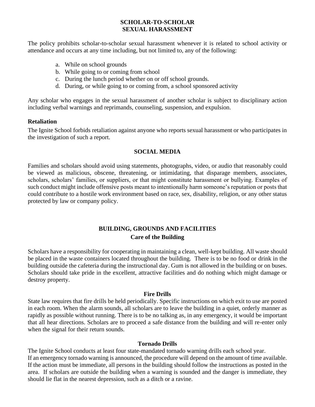## **SCHOLAR-TO-SCHOLAR SEXUAL HARASSMENT**

The policy prohibits scholar-to-scholar sexual harassment whenever it is related to school activity or attendance and occurs at any time including, but not limited to, any of the following:

- a. While on school grounds
- b. While going to or coming from school
- c. During the lunch period whether on or off school grounds.
- d. During, or while going to or coming from, a school sponsored activity

Any scholar who engages in the sexual harassment of another scholar is subject to disciplinary action including verbal warnings and reprimands, counseling, suspension, and expulsion.

#### **Retaliation**

The Ignite School forbids retaliation against anyone who reports sexual harassment or who participates in the investigation of such a report.

## **SOCIAL MEDIA**

Families and scholars should avoid using statements, photographs, video, or audio that reasonably could be viewed as malicious, obscene, threatening, or intimidating, that disparage members, associates, scholars, scholars' families, or suppliers, or that might constitute harassment or bullying. Examples of such conduct might include offensive posts meant to intentionally harm someone's reputation or posts that could contribute to a hostile work environment based on race, sex, disability, religion, or any other status protected by law or company policy.

## **BUILDING, GROUNDS AND FACILITIES Care of the Building**

Scholars have a responsibility for cooperating in maintaining a clean, well-kept building. All waste should be placed in the waste containers located throughout the building. There is to be no food or drink in the building outside the cafeteria during the instructional day. Gum is not allowed in the building or on buses. Scholars should take pride in the excellent, attractive facilities and do nothing which might damage or destroy property.

#### **Fire Drills**

State law requires that fire drills be held periodically. Specific instructions on which exit to use are posted in each room. When the alarm sounds, all scholars are to leave the building in a quiet, orderly manner as rapidly as possible without running. There is to be no talking as, in any emergency, it would be important that all hear directions. Scholars are to proceed a safe distance from the building and will re-enter only when the signal for their return sounds.

#### **Tornado Drills**

The Ignite School conducts at least four state-mandated tornado warning drills each school year. If an emergency tornado warning is announced, the procedure will depend on the amount of time available. If the action must be immediate, all persons in the building should follow the instructions as posted in the area. If scholars are outside the building when a warning is sounded and the danger is immediate, they should lie flat in the nearest depression, such as a ditch or a ravine.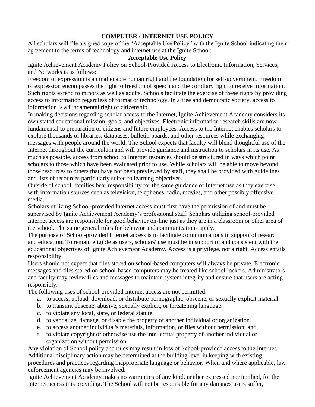## **COMPUTER / INTERNET USE POLICY**

All scholars will file a signed copy of the "Acceptable Use Policy" with the Ignite School indicating their agreement to the terms of technology and internet use at the Ignite School:

## **Acceptable Use Policy**

Ignite Achievement Academy Policy on School-Provided Access to Electronic Information, Services, and Networks is as follows:

Freedom of expression is an inalienable human right and the foundation for self-government. Freedom of expression encompasses the right to freedom of speech and the corollary right to receive information. Such rights extend to minors as well as adults. Schools facilitate the exercise of these rights by providing access to information regardless of format or technology. In a free and democratic society, access to information is a fundamental right of citizenship.

In making decisions regarding scholar access to the Internet, Ignite Achievement Academy considers its own stated educational mission, goals, and objectives. Electronic information research skills are now fundamental to preparation of citizens and future employees. Access to the Internet enables scholars to explore thousands of libraries, databases, bulletin boards, and other resources while exchanging messages with people around the world. The School expects that faculty will blend thoughtful use of the Internet throughout the curriculum and will provide guidance and instruction to scholars in its use. As much as possible, access from school to Internet resources should be structured in ways which point scholars to those which have been evaluated prior to use. While scholars will be able to move beyond those resources to others that have not been previewed by staff, they shall be provided with guidelines and lists of resources particularly suited to learning objectives.

Outside of school, families bear responsibility for the same guidance of Internet use as they exercise with information sources such as television, telephones, radio, movies, and other possibly offensive media.

Scholars utilizing School-provided Internet access must first have the permission of and must be supervised by Ignite Achievement Academy's professional staff. Scholars utilizing school-provided Internet access are responsible for good behavior on-line just as they are in a classroom or other area of the school. The same general rules for behavior and communications apply.

The purpose of School-provided Internet access is to facilitate communications in support of research and education. To remain eligible as users, scholars' use must be in support of and consistent with the educational objectives of Ignite Achievement Academy. Access is a privilege, not a right. Access entails responsibility.

Users should not expect that files stored on school-based computers will always be private. Electronic messages and files stored on school-based computers may be treated like school lockers. Administrators and faculty may review files and messages to maintain system integrity and ensure that users are acting responsibly.

The following uses of school-provided Internet access are not permitted:

- a. to access, upload, download, or distribute pornographic, obscene, or sexually explicit material.
- b. to transmit obscene, abusive, sexually explicit, or threatening language.
- c. to violate any local, state, or federal statute.
- d. to vandalize, damage, or disable the property of another individual or organization.
- e. to access another individual's materials, information, or files without permission; and,
- f. to violate copyright or otherwise use the intellectual property of another individual or organization without permission.

Any violation of School policy and rules may result in loss of School-provided access to the Internet. Additional disciplinary action may be determined at the building level in keeping with existing procedures and practices regarding inappropriate language or behavior. When and where applicable, law enforcement agencies may be involved.

Ignite Achievement Academy makes no warranties of any kind, neither expressed nor implied, for the Internet access it is providing. The School will not be responsible for any damages users suffer,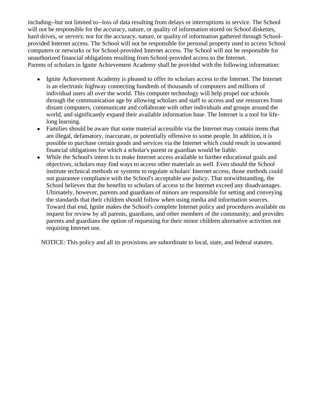including--but not limited to--loss of data resulting from delays or interruptions in service. The School will not be responsible for the accuracy, nature, or quality of information stored on School diskettes, hard drives, or servers; nor for the accuracy, nature, or quality of information gathered through Schoolprovided Internet access. The School will not be responsible for personal property used to access School computers or networks or for School-provided Internet access. The School will not be responsible for unauthorized financial obligations resulting from School-provided access to the Internet. Parents of scholars in Ignite Achievement Academy shall be provided with the following information:

- Ignite Achievement Academy is pleased to offer its scholars access to the Internet. The Internet is an electronic highway connecting hundreds of thousands of computers and millions of individual users all over the world. This computer technology will help propel our schools through the communication age by allowing scholars and staff to access and use resources from distant computers, communicate and collaborate with other individuals and groups around the world, and significantly expand their available information base. The Internet is a tool for lifelong learning.
- Families should be aware that some material accessible via the Internet may contain items that are illegal, defamatory, inaccurate, or potentially offensive to some people. In addition, it is possible to purchase certain goods and services via the Internet which could result in unwanted financial obligations for which a scholar's parent or guardian would be liable.
- While the School's intent is to make Internet access available to further educational goals and objectives, scholars may find ways to access other materials as well. Even should the School institute technical methods or systems to regulate scholars' Internet access, those methods could not guarantee compliance with the School's acceptable use policy. That notwithstanding, the School believes that the benefits to scholars of access to the Internet exceed any disadvantages. Ultimately, however, parents and guardians of minors are responsible for setting and conveying the standards that their children should follow when using media and information sources. Toward that end, Ignite makes the School's complete Internet policy and procedures available on request for review by all parents, guardians, and other members of the community; and provides parents and guardians the option of requesting for their minor children alternative activities not requiring Internet use.

NOTICE: This policy and all its provisions are subordinate to local, state, and federal statutes.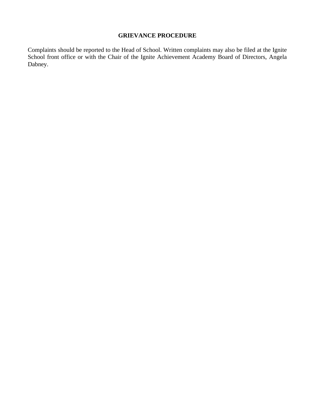## **GRIEVANCE PROCEDURE**

Complaints should be reported to the Head of School. Written complaints may also be filed at the Ignite School front office or with the Chair of the Ignite Achievement Academy Board of Directors, Angela Dabney.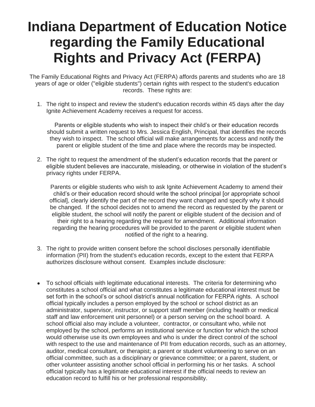# **Indiana Department of Education Notice regarding the Family Educational Rights and Privacy Act (FERPA)**

The Family Educational Rights and Privacy Act (FERPA) affords parents and students who are 18 years of age or older ("eligible students") certain rights with respect to the student's education records. These rights are:

1. The right to inspect and review the student's education records within 45 days after the day Ignite Achievement Academy receives a request for access.

Parents or eligible students who wish to inspect their child's or their education records should submit a written request to Mrs. Jessica English, Principal, that identifies the records they wish to inspect. The school official will make arrangements for access and notify the parent or eligible student of the time and place where the records may be inspected.

2. The right to request the amendment of the student's education records that the parent or eligible student believes are inaccurate, misleading, or otherwise in violation of the student's privacy rights under FERPA.

Parents or eligible students who wish to ask Ignite Achievement Academy to amend their child's or their education record should write the school principal [or appropriate school official], clearly identify the part of the record they want changed and specify why it should be changed. If the school decides not to amend the record as requested by the parent or eligible student, the school will notify the parent or eligible student of the decision and of their right to a hearing regarding the request for amendment. Additional information regarding the hearing procedures will be provided to the parent or eligible student when notified of the right to a hearing.

- 3. The right to provide written consent before the school discloses personally identifiable information (PII) from the student's education records, except to the extent that FERPA authorizes disclosure without consent. Examples include disclosure:
- To school officials with legitimate educational interests. The criteria for determining who constitutes a school official and what constitutes a legitimate educational interest must be set forth in the school's or school district's annual notification for FERPA rights. A school official typically includes a person employed by the school or school district as an administrator, supervisor, instructor, or support staff member (including health or medical staff and law enforcement unit personnel) or a person serving on the school board. A school official also may include a volunteer, contractor, or consultant who, while not employed by the school, performs an institutional service or function for which the school would otherwise use its own employees and who is under the direct control of the school with respect to the use and maintenance of PII from education records, such as an attorney, auditor, medical consultant, or therapist; a parent or student volunteering to serve on an official committee, such as a disciplinary or grievance committee; or a parent, student, or other volunteer assisting another school official in performing his or her tasks. A school official typically has a legitimate educational interest if the official needs to review an education record to fulfill his or her professional responsibility.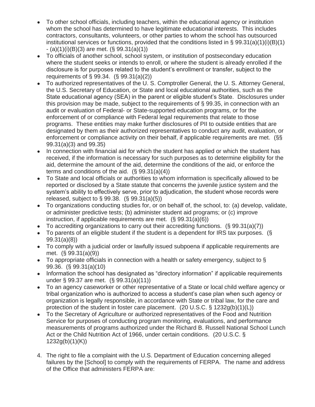- To other school officials, including teachers, within the educational agency or institution whom the school has determined to have legitimate educational interests. This includes contractors, consultants, volunteers, or other parties to whom the school has outsourced institutional services or functions, provided that the conditions listed in § 99.31(a)(1)(i)(B)(1)  $-(a)(1)(i)(B)(3)$  are met.  $(\S 99.31(a)(1))$
- To officials of another school, school system, or institution of postsecondary education where the student seeks or intends to enroll, or where the student is already enrolled if the disclosure is for purposes related to the student's enrollment or transfer, subject to the requirements of § 99.34. (§ 99.31(a)(2))
- To authorized representatives of the U. S. Comptroller General, the U. S. Attorney General, the U.S. Secretary of Education, or State and local educational authorities, such as the State educational agency (SEA) in the parent or eligible student's State. Disclosures under this provision may be made, subject to the requirements of § 99.35, in connection with an audit or evaluation of Federal- or State-supported education programs, or for the enforcement of or compliance with Federal legal requirements that relate to those programs. These entities may make further disclosures of PII to outside entities that are designated by them as their authorized representatives to conduct any audit, evaluation, or enforcement or compliance activity on their behalf, if applicable requirements are met. (§§ 99.31(a)(3) and 99.35)
- In connection with financial aid for which the student has applied or which the student has received, if the information is necessary for such purposes as to determine eligibility for the aid, determine the amount of the aid, determine the conditions of the aid, or enforce the terms and conditions of the aid.  $(S \ 99.31(a)(4))$
- To State and local officials or authorities to whom information is specifically allowed to be reported or disclosed by a State statute that concerns the juvenile justice system and the system's ability to effectively serve, prior to adjudication, the student whose records were released, subject to § 99.38. (§ 99.31(a)(5))
- To organizations conducting studies for, or on behalf of, the school, to: (a) develop, validate, or administer predictive tests; (b) administer student aid programs; or (c) improve instruction, if applicable requirements are met. (§ 99.31(a)(6))
- To accrediting organizations to carry out their accrediting functions.  $(\S$  99.31(a)(7))
- To parents of an eligible student if the student is a dependent for IRS tax purposes. ( $\S$ 99.31(a)(8))
- To comply with a judicial order or lawfully issued subpoena if applicable requirements are met. (§ 99.31(a)(9))
- To appropriate officials in connection with a health or safety emergency, subject to  $\S$ 99.36. (§ 99.31(a)(10)
- Information the school has designated as "directory information" if applicable requirements under § 99.37 are met. (§ 99.31(a)(11))
- To an agency caseworker or other representative of a State or local child welfare agency or tribal organization who is authorized to access a student's case plan when such agency or organization is legally responsible, in accordance with State or tribal law, for the care and protection of the student in foster care placement. (20 U.S.C.  $\S$  1232q(b)(1)(L))
- To the Secretary of Agriculture or authorized representatives of the Food and Nutrition Service for purposes of conducting program monitoring, evaluations, and performance measurements of programs authorized under the Richard B. Russell National School Lunch Act or the Child Nutrition Act of 1966, under certain conditions. (20 U.S.C. §  $1232g(b)(1)(K)$
- 4. The right to file a complaint with the U.S. Department of Education concerning alleged failures by the [School] to comply with the requirements of FERPA. The name and address of the Office that administers FERPA are: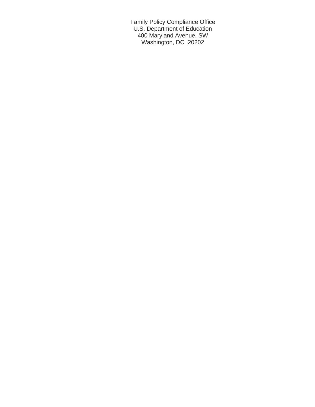Family Policy Compliance Office U.S. Department of Education 400 Maryland Avenue, SW Washington, DC 20202